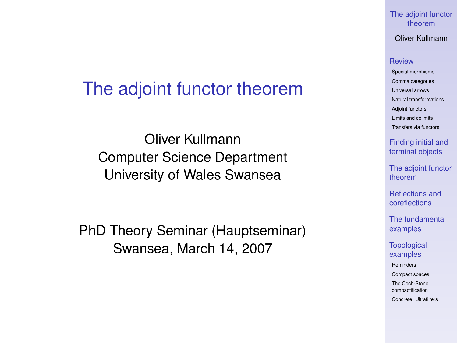#### [The adjoint functor](#page-60-0) theorem

Oliver Kullmann

#### **[Review](#page-4-0)**

[Special morphisms](#page-4-0) [Comma categories](#page-7-0) [Universal arrows](#page-9-0) [Natural transformations](#page-10-0) [Adjoint functors](#page-11-0) [Limits and colimits](#page-21-0) [Transfers via functors](#page-25-0)

[Finding initial and](#page-33-0) terminal objects

[The adjoint functor](#page-37-0) theorem

[Reflections and](#page-41-0) coreflections

[The fundamental](#page-47-0) examples

**[Topological](#page-50-0)** examples

[Reminders](#page-50-0)

[Compact spaces](#page-55-0)

The Cech-Stone [compactification](#page-57-0)

[Concrete: Ultrafilters](#page-59-0)

### The adjoint functor theorem

Oliver Kullmann Computer Science Department University of Wales Swansea

<span id="page-0-0"></span>PhD Theory Seminar (Hauptseminar) Swansea, March 14, 2007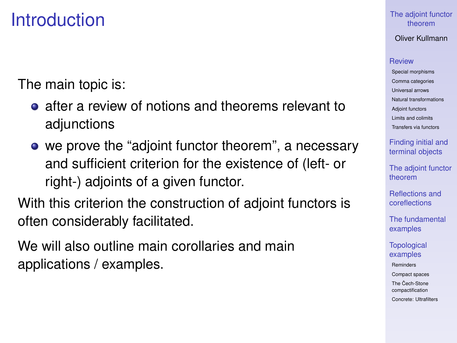### **Introduction**

The main topic is:

- **•** after a review of notions and theorems relevant to adjunctions
- we prove the "adjoint functor theorem", a necessary and sufficient criterion for the existence of (left- or right-) adjoints of a given functor.

With this criterion the construction of adjoint functors is often considerably facilitated.

We will also outline main corollaries and main applications / examples.

### [The adjoint functor](#page-0-0) theorem

Oliver Kullmann

#### **[Review](#page-4-0)**

[Special morphisms](#page-4-0) [Comma categories](#page-7-0) [Universal arrows](#page-9-0) [Natural transformations](#page-10-0) [Adjoint functors](#page-11-0) [Limits and colimits](#page-21-0) [Transfers via functors](#page-25-0)

[Finding initial and](#page-33-0) terminal objects

[The adjoint functor](#page-37-0) theorem

[Reflections and](#page-41-0) coreflections

[The fundamental](#page-47-0) examples

**[Topological](#page-50-0)** examples

[Reminders](#page-50-0)

[Compact spaces](#page-55-0)

The Cech-Stone [compactification](#page-57-0)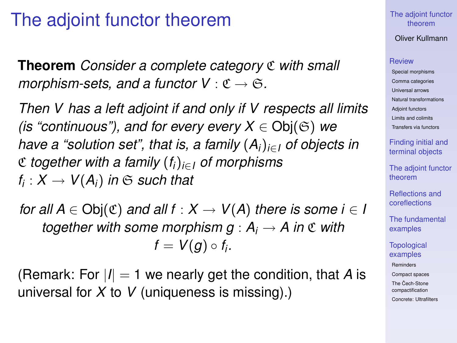### The adjoint functor theorem

**Theorem** *Consider a complete category* C *with small morphism-sets, and a functor*  $V : \mathfrak{C} \to \mathfrak{S}$ .

*Then V has a left adjoint if and only if V respects all limits (is "continuous"), and for every every*  $X \in Ob(G)$  *we have a "solution set", that is, a family* (*Ai*)*i*∈*<sup>I</sup> of objects in* C *together with a family* (*fi*)*i*∈*<sup>I</sup> of morphisms*  $f_i: X \rightarrow V(A_i)$  in  $\mathfrak S$  *such that* 

*for all A*  $\in$  Obj $(\mathfrak{C})$  *and all f* :  $X \rightarrow V(A)$  *there is some i*  $\in I$ *together with some morphism*  $g : A_i \to A$  *in*  $\mathfrak C$  *with*  $f = V(g) \circ f_i$ .

(Remark: For  $|I| = 1$  we nearly get the condition, that A is universal for *X* to *V* (uniqueness is missing).)

### [The adjoint functor](#page-0-0) theorem

### Oliver Kullmann

#### **[Review](#page-4-0)**

[Special morphisms](#page-4-0) [Comma categories](#page-7-0) [Universal arrows](#page-9-0) [Natural transformations](#page-10-0) [Adjoint functors](#page-11-0) [Limits and colimits](#page-21-0) [Transfers via functors](#page-25-0)

[Finding initial and](#page-33-0) terminal objects

[The adjoint functor](#page-37-0) theorem

[Reflections and](#page-41-0) coreflections

[The fundamental](#page-47-0) examples

**[Topological](#page-50-0)** examples [Reminders](#page-50-0)

[Compact spaces](#page-55-0)

The Cech-Stone [compactification](#page-57-0) [Concrete: Ultrafilters](#page-59-0)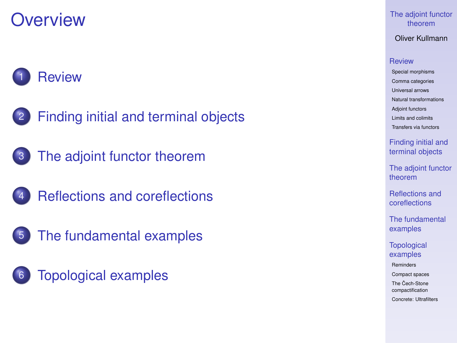### **Overview**



- [Finding initial and terminal objects](#page-33-0)
- 3 [The adjoint functor theorem](#page-37-0)
	- [Reflections and coreflections](#page-41-0)
- 5 [The fundamental examples](#page-47-0)
- 6 [Topological examples](#page-50-0)

### [The adjoint functor](#page-0-0) theorem

Oliver Kullmann

### **[Review](#page-4-0)**

[Special morphisms](#page-4-0) [Comma categories](#page-7-0) [Universal arrows](#page-9-0) [Natural transformations](#page-10-0) [Adjoint functors](#page-11-0) [Limits and colimits](#page-21-0) [Transfers via functors](#page-25-0)

[Finding initial and](#page-33-0) terminal objects

[The adjoint functor](#page-37-0) theorem

[Reflections and](#page-41-0) coreflections

[The fundamental](#page-47-0) examples

**[Topological](#page-50-0)** examples

[Reminders](#page-50-0)

[Compact spaces](#page-55-0)

The Cech-Stone [compactification](#page-57-0)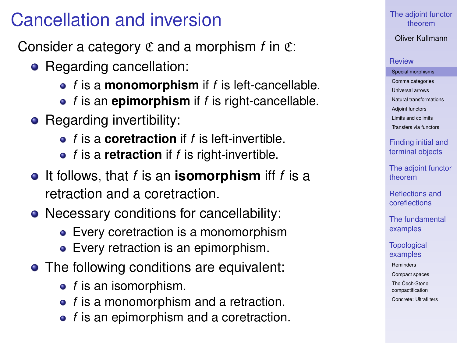### Cancellation and inversion

Consider a category  $\mathfrak C$  and a morphism  $f$  in  $\mathfrak C$ :

- Regarding cancellation:
	- *f* is a **monomorphism** if *f* is left-cancellable.
	- *f* is an **epimorphism** if *f* is right-cancellable.
- Regarding invertibility:
	- *f* is a **coretraction** if *f* is left-invertible.
	- *f* is a **retraction** if *f* is right-invertible.
- **•** It follows, that *f* is an **isomorphism** iff *f* is a retraction and a coretraction.
- Necessary conditions for cancellability:
	- Every coretraction is a monomorphism
	- Every retraction is an epimorphism.
- <span id="page-4-0"></span>• The following conditions are equivalent:
	- *f* is an isomorphism.
	- *f* is a monomorphism and a retraction.
	- **•** *f* is an epimorphism and a coretraction.

### [The adjoint functor](#page-0-0) theorem

Oliver Kullmann

#### **[Review](#page-4-0)**

[Special morphisms](#page-4-0) [Comma categories](#page-7-0) [Universal arrows](#page-9-0) [Natural transformations](#page-10-0) [Adjoint functors](#page-11-0) [Limits and colimits](#page-21-0) [Transfers via functors](#page-25-0)

[Finding initial and](#page-33-0) terminal objects

[The adjoint functor](#page-37-0) theorem

[Reflections and](#page-41-0) coreflections

[The fundamental](#page-47-0) examples

**[Topological](#page-50-0)** examples

[Reminders](#page-50-0)

[Compact spaces](#page-55-0)

The Cech-Stone [compactification](#page-57-0)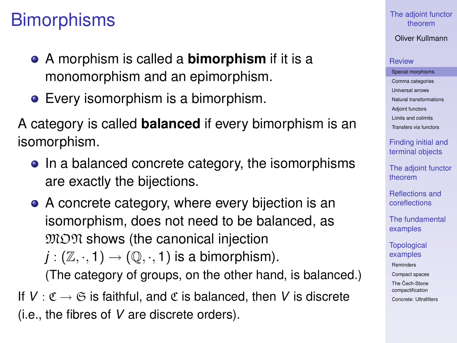### **Bimorphisms**

- A morphism is called a **bimorphism** if it is a monomorphism and an epimorphism.
- Every isomorphism is a bimorphism.

A category is called **balanced** if every bimorphism is an isomorphism.

- In a balanced concrete category, the isomorphisms are exactly the bijections.
- A concrete category, where every bijection is an isomorphism, does not need to be balanced, as  $MTM$  shows (the canonical injection  $j : (\mathbb{Z}, \cdot, 1) \rightarrow (\mathbb{Q}, \cdot, 1)$  is a bimorphism).

(The category of groups, on the other hand, is balanced.)

If  $V: \mathfrak{C} \to \mathfrak{S}$  is faithful, and  $\mathfrak{C}$  is balanced, then V is discrete (i.e., the fibres of *V* are discrete orders).

### [The adjoint functor](#page-0-0) theorem

Oliver Kullmann

#### **[Review](#page-4-0)**

[Special morphisms](#page-4-0) [Comma categories](#page-7-0) [Universal arrows](#page-9-0) [Natural transformations](#page-10-0) [Adjoint functors](#page-11-0) [Limits and colimits](#page-21-0) [Transfers via functors](#page-25-0)

[Finding initial and](#page-33-0) terminal objects

[The adjoint functor](#page-37-0) theorem

[Reflections and](#page-41-0) coreflections

[The fundamental](#page-47-0) examples

**[Topological](#page-50-0)** examples [Reminders](#page-50-0) [Compact spaces](#page-55-0) The Cech-Stone

[compactification](#page-57-0) [Concrete: Ultrafilters](#page-59-0)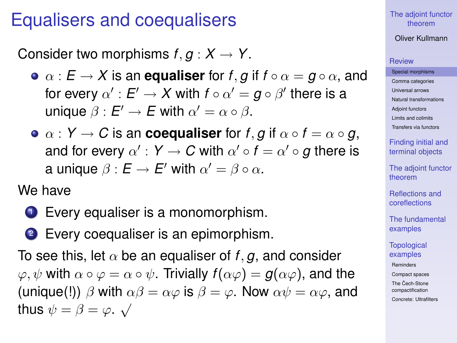### Equalisers and coequalisers

Consider two morphisms  $f, g: X \to Y$ .

- $\bullet \ \alpha : E \to X$  is an **equaliser** for *f*, *g* if  $f \circ \alpha = g \circ \alpha$ , and for every  $\alpha':E'\to X$  with  $f\circ\alpha'=g\circ\beta'$  there is a unique  $\beta : E' \to E$  with  $\alpha' = \alpha \circ \beta$ .
- $\bullet \ \alpha : Y \to C$  is an **coequaliser** for *f*, *g* if  $\alpha \circ f = \alpha \circ g$ , and for every  $\alpha' : \mathsf{Y} \to \mathsf{C}$  with  $\alpha' \circ \mathsf{f} = \alpha' \circ \mathsf{g}$  there is a unique  $\beta : E \to E'$  with  $\alpha' = \beta \circ \alpha$ .

We have

- **1** Every equaliser is a monomorphism.
- 2 Every coequaliser is an epimorphism.

To see this, let  $\alpha$  be an equaliser of *f*, *g*, and consider  $\varphi, \psi$  with  $\alpha \circ \varphi = \alpha \circ \psi$ . Trivially  $f(\alpha \varphi) = g(\alpha \varphi)$ , and the (unique(!))  $\beta$  with  $\alpha\beta = \alpha\varphi$  is  $\beta = \varphi$ . Now  $\alpha\psi = \alpha\varphi$ , and thus  $\psi = \beta = \varphi \cdot \sqrt{\frac{\mu}{\sigma^2}}$ 

### [The adjoint functor](#page-0-0) theorem

Oliver Kullmann

#### **[Review](#page-4-0)**

[Special morphisms](#page-4-0) [Comma categories](#page-7-0) [Universal arrows](#page-9-0) [Natural transformations](#page-10-0) [Adjoint functors](#page-11-0) [Limits and colimits](#page-21-0) [Transfers via functors](#page-25-0)

[Finding initial and](#page-33-0) terminal objects

[The adjoint functor](#page-37-0) theorem

[Reflections and](#page-41-0) coreflections

[The fundamental](#page-47-0) examples

**[Topological](#page-50-0)** examples

[Reminders](#page-50-0)

[Compact spaces](#page-55-0)

The Cech-Stone [compactification](#page-57-0)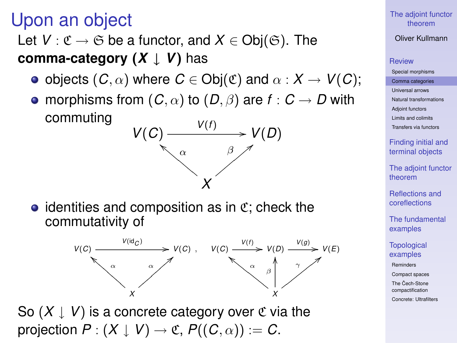### Upon an object

### Let  $V: \mathfrak{C} \to \mathfrak{S}$  be a functor, and  $X \in \mathsf{Obj}(\mathfrak{S})$ . The **comma-category** (*X* ↓ *V*) has

*V*(*C*)

- objects  $(C, \alpha)$  where  $C \in \text{Obj}(\mathfrak{C})$  and  $\alpha : X \to V(C)$ ;
- morphisms from  $(C, \alpha)$  to  $(D, \beta)$  are  $f : C \rightarrow D$  with commuting *V*(*f* )

α a<br>Daddal a gant a gant a gant a gant a gant a gant a gant a gant a gant a gant a gant a gant a gant a gant a gant a gant a gant a gant a gant a gant a gant a gant a gant a gant a gant a gant a gant a gant a gant a gant a g /*V*(*D*)





*X*

β  $\beta$ 

<span id="page-7-0"></span>So  $(X \downarrow V)$  is a concrete category over  $\mathfrak C$  via the projection  $P: (X \downarrow V) \rightarrow \mathfrak{C}, P((C, \alpha)) := C$ .

#### [The adjoint functor](#page-0-0) theorem

### Oliver Kullmann

#### **[Review](#page-4-0)**

[Special morphisms](#page-4-0) [Comma categories](#page-7-0) [Universal arrows](#page-9-0) [Natural transformations](#page-10-0) [Adjoint functors](#page-11-0) [Limits and colimits](#page-21-0) [Transfers via functors](#page-25-0)

[Finding initial and](#page-33-0) terminal objects

[The adjoint functor](#page-37-0) theorem

[Reflections and](#page-41-0) coreflections

[The fundamental](#page-47-0) examples

**[Topological](#page-50-0)** examples

[Reminders](#page-50-0)

[Compact spaces](#page-55-0)

The Cech-Stone [compactification](#page-57-0)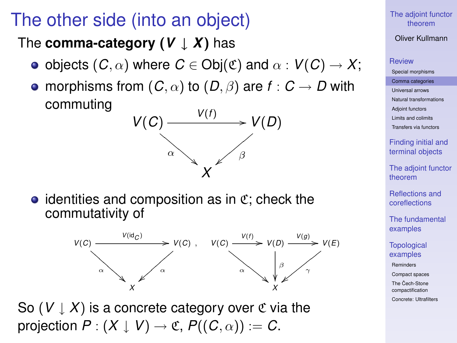### The other side (into an object)

The **comma-category**  $(V \downarrow X)$  has

- objects  $(C, \alpha)$  where  $C \in Ob(C)$  and  $\alpha : V(C) \to X$ ;
- morphisms from  $(C, \alpha)$  to  $(D, \beta)$  are  $f : C \rightarrow D$  with commuting



 $\bullet$  identities and composition as in  $\mathfrak{C}$ ; check the commutativity of



So  $(V \downarrow X)$  is a concrete category over  $\mathfrak C$  via the projection  $P: (X \downarrow V) \rightarrow \mathfrak{C}, P((C, \alpha)) := C$ .

### [The adjoint functor](#page-0-0) theorem

### Oliver Kullmann

### **[Review](#page-4-0)**

[Special morphisms](#page-4-0) [Comma categories](#page-7-0) [Universal arrows](#page-9-0) [Natural transformations](#page-10-0) [Adjoint functors](#page-11-0) [Limits and colimits](#page-21-0) [Transfers via functors](#page-25-0)

[Finding initial and](#page-33-0) terminal objects

[The adjoint functor](#page-37-0) theorem

[Reflections and](#page-41-0) coreflections

[The fundamental](#page-47-0) examples

**[Topological](#page-50-0)** examples

[Reminders](#page-50-0)

[Compact spaces](#page-55-0)

The Cech-Stone [compactification](#page-57-0)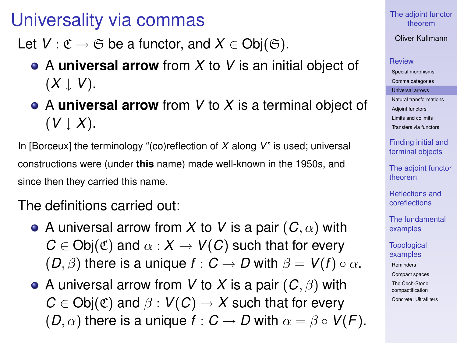### Universality via commas

Let  $V: \mathfrak{C} \to \mathfrak{S}$  be a functor, and  $X \in \mathsf{Obj}(\mathfrak{S})$ .

- A **universal arrow** from *X* to *V* is an initial object of  $(X \mid V)$ .
- A **universal arrow** from *V* to *X* is a terminal object of  $(V \perp X)$ .

In [Borceux] the terminology "(co)reflection of *X* along *V*" is used; universal constructions were (under **this** name) made well-known in the 1950s, and since then they carried this name.

### The definitions carried out:

- A universal arrow from X to V is a pair  $(C, \alpha)$  with  $C \in Ob_i(\mathfrak{C})$  and  $\alpha: X \to V(C)$  such that for every  $(D, \beta)$  there is a unique  $f : C \rightarrow D$  with  $\beta = V(f) \circ \alpha$ .
- <span id="page-9-0"></span>A universal arrow from *V* to *X* is a pair (*C*, β) with  $C \in Ob_i(\mathfrak{C})$  and  $\beta: V(C) \rightarrow X$  such that for every  $(D, \alpha)$  there is a unique  $f : C \to D$  with  $\alpha = \beta \circ V(F)$ .

[The adjoint functor](#page-0-0) theorem

Oliver Kullmann

#### **[Review](#page-4-0)**

[Special morphisms](#page-4-0) [Comma categories](#page-7-0) [Universal arrows](#page-9-0) [Natural transformations](#page-10-0) [Adjoint functors](#page-11-0) [Limits and colimits](#page-21-0) [Transfers via functors](#page-25-0)

[Finding initial and](#page-33-0) terminal objects

[The adjoint functor](#page-37-0) theorem

[Reflections and](#page-41-0) coreflections

[The fundamental](#page-47-0) examples

**[Topological](#page-50-0)** examples

[Reminders](#page-50-0)

[Compact spaces](#page-55-0)

The Cech-Stone [compactification](#page-57-0)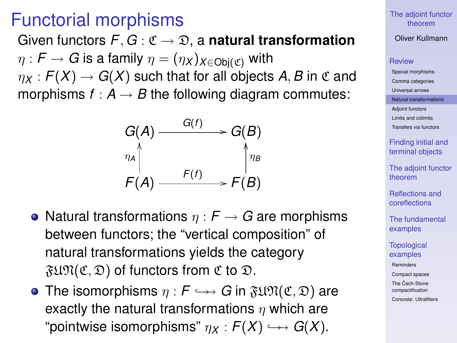### Functorial morphisms

Given functors  $F, G: \mathfrak{C} \to \mathfrak{D}$ , a **natural transformation**  $\eta$ :  $F \to G$  is a family  $\eta = (\eta_X)_{X \in Ob(G)}$  with  $\eta_X$ :  $F(X) \to G(X)$  such that for all objects A, B in  $\mathfrak C$  and

morphisms  $f : A \rightarrow B$  the following diagram commutes:

$$
G(A) \xrightarrow{G(f)} G(B)
$$
\n
$$
\uparrow_{\eta_A} \uparrow_{\eta_B} \uparrow_{\eta_B}
$$
\n
$$
F(A) \xrightarrow{F(f)} F(B)
$$

- Natural transformations  $\eta : F \to G$  are morphisms between functors; the "vertical composition" of natural transformations yields the category  $\mathfrak{FUN}(\mathfrak{C}, \mathfrak{D})$  of functors from  $\mathfrak{C}$  to  $\mathfrak{D}$ .
- <span id="page-10-0"></span>• The isomorphisms  $\eta : F \hookrightarrow G$  in  $\mathfrak{FUM}(\mathfrak{C}, \mathfrak{D})$  are exactly the natural transformations  $\eta$  which are "pointwise isomorphisms"  $\eta_X : F(X) \hookrightarrow G(X)$ .

#### [The adjoint functor](#page-0-0) theorem

### Oliver Kullmann

#### **[Review](#page-4-0)**

[Special morphisms](#page-4-0) [Comma categories](#page-7-0) [Universal arrows](#page-9-0) [Natural transformations](#page-10-0) [Adjoint functors](#page-11-0) [Limits and colimits](#page-21-0) [Transfers via functors](#page-25-0)

> [Finding initial and](#page-33-0) terminal objects

[The adjoint functor](#page-37-0) theorem

[Reflections and](#page-41-0) coreflections

[The fundamental](#page-47-0) examples

**[Topological](#page-50-0)** examples

[Reminders](#page-50-0)

[Compact spaces](#page-55-0)

The Cech-Stone [compactification](#page-57-0)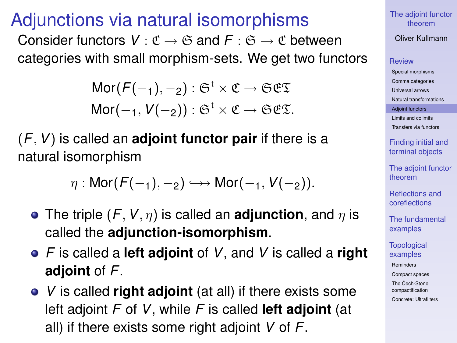### Adjunctions via natural isomorphisms

Consider functors  $V : \mathfrak{C} \to \mathfrak{S}$  and  $F : \mathfrak{S} \to \mathfrak{C}$  between categories with small morphism-sets. We get two functors

> Mor $(F(-_1), -_2)$ :  $\mathfrak{S}^{\dagger} \times \mathfrak{C} \rightarrow \mathfrak{S} \mathfrak{C} \mathfrak{T}$ Mor $(-1, V(-2))$ :  $\mathfrak{S}^{\dagger} \times \mathfrak{C} \rightarrow \mathfrak{S} \mathfrak{E} \mathfrak{D}$ .

(*F*,*V*) is called an **adjoint functor pair** if there is a natural isomorphism

$$
\eta: \mathsf{Mor}(\mathsf{F}(-1),-2) \hookrightarrow \mathsf{Mor}(-1,\mathsf{V}(-2)).
$$

- **•** The triple  $(F, V, \eta)$  is called an **adjunction**, and  $\eta$  is called the **adjunction-isomorphism**.
- *F* is called a **left adjoint** of *V*, and *V* is called a **right adjoint** of *F*.
- <span id="page-11-0"></span>*V* is called **right adjoint** (at all) if there exists some left adjoint *F* of *V*, while *F* is called **left adjoint** (at all) if there exists some right adjoint *V* of *F*.

[The adjoint functor](#page-0-0) theorem

Oliver Kullmann

### **[Review](#page-4-0)**

[Special morphisms](#page-4-0) [Comma categories](#page-7-0) [Universal arrows](#page-9-0) [Natural transformations](#page-10-0) [Adjoint functors](#page-11-0) [Limits and colimits](#page-21-0) [Transfers via functors](#page-25-0)

> [Finding initial and](#page-33-0) terminal objects

[The adjoint functor](#page-37-0) theorem

[Reflections and](#page-41-0) coreflections

[The fundamental](#page-47-0) examples

**[Topological](#page-50-0)** examples

[Reminders](#page-50-0)

[Compact spaces](#page-55-0)

The Cech-Stone [compactification](#page-57-0)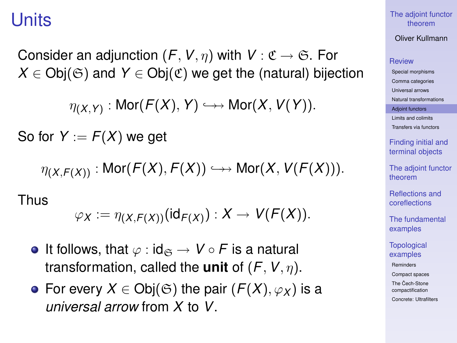### Units

Consider an adjunction  $(F, V, \eta)$  with  $V : \mathfrak{C} \to \mathfrak{S}$ . For  $X \in Ob(\mathfrak{S})$  and  $Y \in Ob(\mathfrak{C})$  we get the (natural) bijection

 $\eta_{(X,Y)}: \mathsf{Mor}(\mathcal{F}(X),Y) \hookrightarrow \mathsf{Mor}(X,V(Y)).$ 

So for  $Y := F(X)$  we get

 $\eta(X, F(X))$ : Mor $(F(X), F(X)) \hookrightarrow$  Mor $(X, V(F(X))).$ 

Thus

$$
\varphi_X := \eta_{(X,F(X))}(\text{id}_{F(X)}) : X \to V(F(X)).
$$

- It follows, that  $\varphi : id_{\mathfrak{S}} \to V \circ F$  is a natural transformation, called the **unit** of (*F*,*V*, η).
- For every  $X \in Ob(G)$  the pair  $(F(X), \varphi_X)$  is a *universal arrow* from *X* to *V*.

[The adjoint functor](#page-0-0) theorem

Oliver Kullmann

### **[Review](#page-4-0)**

[Special morphisms](#page-4-0) [Comma categories](#page-7-0) [Universal arrows](#page-9-0) [Natural transformations](#page-10-0) [Adjoint functors](#page-11-0) [Limits and colimits](#page-21-0) [Transfers via functors](#page-25-0)

> [Finding initial and](#page-33-0) terminal objects

[The adjoint functor](#page-37-0) theorem

[Reflections and](#page-41-0) coreflections

[The fundamental](#page-47-0) examples

**[Topological](#page-50-0)** examples

[Reminders](#page-50-0)

[Compact spaces](#page-55-0)

The Cech-Stone [compactification](#page-57-0)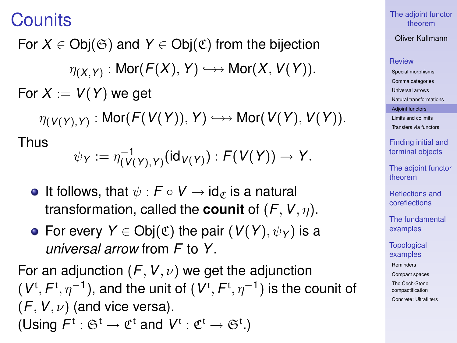**Counits** 

For  $X \in \text{Obj}(\mathfrak{S})$  and  $Y \in \text{Obj}(\mathfrak{C})$  from the bijection  $\eta_{(X,Y)}: \mathsf{Mor}(\mathcal{F}(X),Y) \hookrightarrow \mathsf{Mor}(X,V(Y)).$ For  $X := V(Y)$  we get

 $\eta_{(\mathsf{V}(\mathsf{Y}),\mathsf{Y})}:\mathsf{Mor}(\mathsf{F}(\mathsf{V}(\mathsf{Y})),\mathsf{Y})\hookrightarrow\mathsf{Mor}(\mathsf{V}(\mathsf{Y}),\mathsf{V}(\mathsf{Y})).$ 

Thus

$$
\psi_Y := \eta_{(V(Y),Y)}^{-1}(\textup{id}_{V(Y)}): F(V(Y)) \to Y.
$$

- It follows, that  $\psi$  :  $\mathcal{F} \circ V \to id_{\mathcal{F}}$  is a natural transformation, called the **counit** of  $(F, V, \eta)$ .
- **•** For every *Y* ∈ Obj( $\mathfrak{C}$ ) the pair (*V*(*Y*),  $\psi$ <sub>*Y*</sub>) is a *universal arrow* from *F* to *Y*.

For an adjunction  $(F, V, \nu)$  we get the adjunction  $(V^{\text{t}}, F^{\text{t}}, \eta^{-1})$ , and the unit of  $(V^{\text{t}}, F^{\text{t}}, \eta^{-1})$  is the counit of  $(F, V, \nu)$  (and vice versa). (Using  $F^t : \mathfrak{S}^t \to \mathfrak{C}^t$  and  $V^t : \mathfrak{C}^t \to \mathfrak{S}^t$ .)

[The adjoint functor](#page-0-0) theorem

Oliver Kullmann

#### **[Review](#page-4-0)**

[Special morphisms](#page-4-0) [Comma categories](#page-7-0) [Universal arrows](#page-9-0) [Natural transformations](#page-10-0) [Adjoint functors](#page-11-0) [Limits and colimits](#page-21-0) [Transfers via functors](#page-25-0)

[Finding initial and](#page-33-0) terminal objects

[The adjoint functor](#page-37-0) theorem

[Reflections and](#page-41-0) coreflections

[The fundamental](#page-47-0) examples

**[Topological](#page-50-0)** examples

[Reminders](#page-50-0)

[Compact spaces](#page-55-0)

The Cech-Stone [compactification](#page-57-0) [Concrete: Ultrafilters](#page-59-0)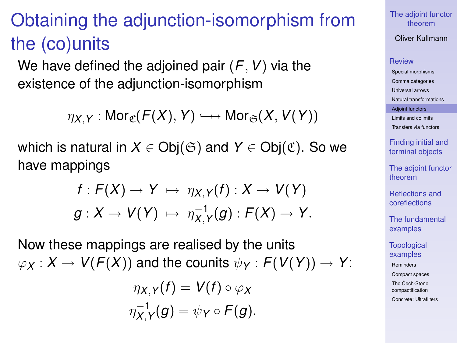# Obtaining the adjunction-isomorphism from the (co)units

We have defined the adjoined pair (*F*,*V*) via the existence of the adjunction-isomorphism

 $\eta_X \vee \cdot \text{Mor}_{\mathfrak{C}}(F(X), Y) \hookrightarrow \text{Mor}_{\mathfrak{S}}(X, V(Y))$ 

which is natural in  $X \in Ob(G)$  and  $Y \in Ob(G)$ . So we have mappings

$$
f: F(X) \to Y \mapsto \eta_{X,Y}(f): X \to V(Y)
$$
  

$$
g: X \to V(Y) \mapsto \eta_{X,Y}^{-1}(g): F(X) \to Y.
$$

Now these mappings are realised by the units  $\varphi_X$  :  $X \to V(F(X))$  and the counits  $\psi_Y$  :  $F(V(Y)) \to Y$ :

$$
\eta_{X,Y}(f) = V(f) \circ \varphi_X
$$
  

$$
\eta_{X,Y}^{-1}(g) = \psi_Y \circ F(g).
$$

[The adjoint functor](#page-0-0) theorem

Oliver Kullmann

#### **[Review](#page-4-0)**

[Special morphisms](#page-4-0) [Comma categories](#page-7-0) [Universal arrows](#page-9-0) [Natural transformations](#page-10-0) [Adjoint functors](#page-11-0) [Limits and colimits](#page-21-0) [Transfers via functors](#page-25-0)

> [Finding initial and](#page-33-0) terminal objects

[The adjoint functor](#page-37-0) theorem

[Reflections and](#page-41-0) coreflections

[The fundamental](#page-47-0) examples

**[Topological](#page-50-0)** examples

[Reminders](#page-50-0)

[Compact spaces](#page-55-0)

The Cech-Stone [compactification](#page-57-0)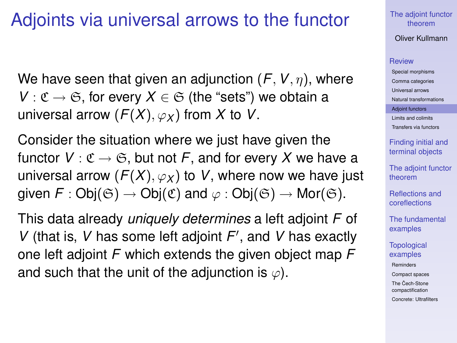### Adjoints via universal arrows to the functor

We have seen that given an adjunction (*F*,*V*, η), where *V* :  $\mathfrak{C} \to \mathfrak{S}$ , for every  $X \in \mathfrak{S}$  (the "sets") we obtain a universal arrow  $(F(X), \varphi_X)$  from X to V.

Consider the situation where we just have given the functor  $V : \mathfrak{C} \to \mathfrak{S}$ , but not F, and for every X we have a universal arrow  $(F(X), \varphi_X)$  to *V*, where now we have just given  $F : Ob_i(\mathfrak{S}) \to Ob_i(\mathfrak{C})$  and  $\varphi : Ob_i(\mathfrak{S}) \to Mor(\mathfrak{S})$ .

This data already *uniquely determines* a left adjoint *F* of *V* (that is, *V* has some left adjoint *F'*, and *V* has exactly one left adjoint *F* which extends the given object map *F* and such that the unit of the adjunction is  $\varphi$ ).

[The adjoint functor](#page-0-0) theorem

Oliver Kullmann

#### **[Review](#page-4-0)**

[Special morphisms](#page-4-0) [Comma categories](#page-7-0) [Universal arrows](#page-9-0) [Natural transformations](#page-10-0) [Adjoint functors](#page-11-0) [Limits and colimits](#page-21-0) [Transfers via functors](#page-25-0)

> [Finding initial and](#page-33-0) terminal objects

[The adjoint functor](#page-37-0) theorem

[Reflections and](#page-41-0) coreflections

[The fundamental](#page-47-0) examples

**[Topological](#page-50-0)** examples

[Reminders](#page-50-0)

[Compact spaces](#page-55-0)

The Cech-Stone [compactification](#page-57-0)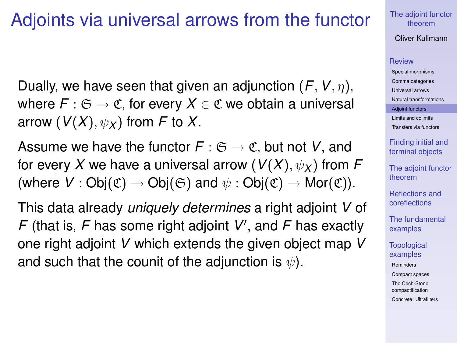### Adjoints via universal arrows from the functor

Dually, we have seen that given an adjunction (*F*,*V*, η), where  $F: \mathfrak{S} \to \mathfrak{C}$ , for every  $X \in \mathfrak{C}$  we obtain a universal arrow ( $V(X)$ ,  $\psi_X$ ) from F to X.

Assume we have the functor  $F : \mathfrak{S} \to \mathfrak{C}$ , but not *V*, and for every *X* we have a universal arrow ( $V(X)$ ,  $\psi_X$ ) from *F* (where  $V : Ob_i(\mathfrak{C}) \to Ob_i(\mathfrak{S})$  and  $\psi : Ob_i(\mathfrak{C}) \to Mor(\mathfrak{C})$ ).

This data already *uniquely determines* a right adjoint *V* of  $F$  (that is,  $F$  has some right adjoint  $V'$ , and  $F$  has exactly one right adjoint *V* which extends the given object map *V* and such that the counit of the adjunction is  $\psi$ ).

[The adjoint functor](#page-0-0) theorem

Oliver Kullmann

#### **[Review](#page-4-0)**

[Special morphisms](#page-4-0) [Comma categories](#page-7-0) [Universal arrows](#page-9-0) [Natural transformations](#page-10-0) [Adjoint functors](#page-11-0) [Limits and colimits](#page-21-0) [Transfers via functors](#page-25-0)

[Finding initial and](#page-33-0) terminal objects

[The adjoint functor](#page-37-0) theorem

[Reflections and](#page-41-0) coreflections

[The fundamental](#page-47-0) examples

**[Topological](#page-50-0)** examples

[Reminders](#page-50-0)

[Compact spaces](#page-55-0)

The Cech-Stone [compactification](#page-57-0)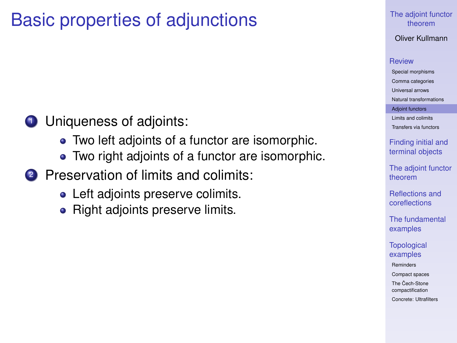### Basic properties of adjunctions

### **1** Uniqueness of adjoints:

- Two left adjoints of a functor are isomorphic.
- Two right adjoints of a functor are isomorphic.
- 2 Preservation of limits and colimits:
	- Left adjoints preserve colimits.
	- Right adjoints preserve limits.

#### [The adjoint functor](#page-0-0) theorem

Oliver Kullmann

#### **[Review](#page-4-0)**

[Special morphisms](#page-4-0) [Comma categories](#page-7-0) [Universal arrows](#page-9-0) [Natural transformations](#page-10-0) [Adjoint functors](#page-11-0) [Limits and colimits](#page-21-0) [Transfers via functors](#page-25-0)

> [Finding initial and](#page-33-0) terminal objects

[The adjoint functor](#page-37-0) theorem

[Reflections and](#page-41-0) coreflections

[The fundamental](#page-47-0) examples

**[Topological](#page-50-0)** examples

[Reminders](#page-50-0)

[Compact spaces](#page-55-0)

The Cech-Stone [compactification](#page-57-0)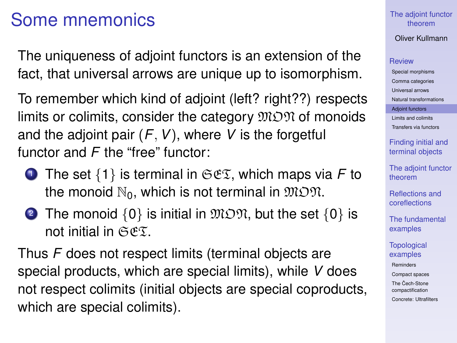### Some mnemonics

The uniqueness of adjoint functors is an extension of the fact, that universal arrows are unique up to isomorphism.

To remember which kind of adjoint (left? right??) respects limits or colimits, consider the category  $\mathfrak{M} \mathfrak{O} \mathfrak{N}$  of monoids and the adjoint pair  $(F, V)$ , where V is the forgetful functor and *F* the "free" functor:

- <sup>1</sup> The set {1} is terminal in SET, which maps via *F* to the monoid  $\mathbb{N}_0$ , which is not terminal in  $\mathfrak{M} \mathfrak{M}$ .
- 2 The monoid  $\{0\}$  is initial in  $\mathfrak{M} \mathfrak{O} \mathfrak{N}$ , but the set  $\{0\}$  is not initial in  $CCF$ .

Thus *F* does not respect limits (terminal objects are special products, which are special limits), while *V* does not respect colimits (initial objects are special coproducts, which are special colimits).

### [The adjoint functor](#page-0-0) theorem

### Oliver Kullmann

### **[Review](#page-4-0)**

[Special morphisms](#page-4-0) [Comma categories](#page-7-0) [Universal arrows](#page-9-0) [Natural transformations](#page-10-0) [Adjoint functors](#page-11-0) [Limits and colimits](#page-21-0) [Transfers via functors](#page-25-0)

[Finding initial and](#page-33-0) terminal objects

[The adjoint functor](#page-37-0) theorem

[Reflections and](#page-41-0) coreflections

[The fundamental](#page-47-0) examples

**[Topological](#page-50-0)** examples

[Reminders](#page-50-0)

[Compact spaces](#page-55-0)

The Cech-Stone [compactification](#page-57-0)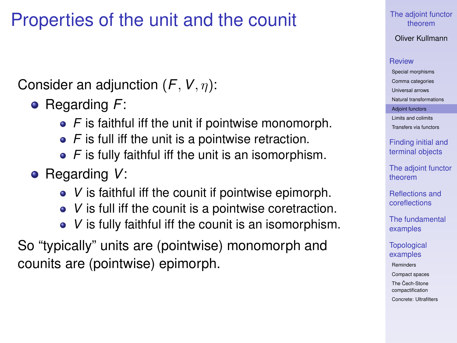## Properties of the unit and the counit

Consider an adjunction (*F*,*V*, η):

- Regarding *F*:
	- *F* is faithful iff the unit if pointwise monomorph.
	- *F* is full iff the unit is a pointwise retraction.
	- *F* is fully faithful iff the unit is an isomorphism.
- Regarding *V*:
	- *V* is faithful iff the counit if pointwise epimorph.
	- *V* is full iff the counit is a pointwise coretraction.
	- *V* is fully faithful iff the counit is an isomorphism.

So "typically" units are (pointwise) monomorph and counits are (pointwise) epimorph.

[The adjoint functor](#page-0-0) theorem

Oliver Kullmann

### **[Review](#page-4-0)**

[Special morphisms](#page-4-0) [Comma categories](#page-7-0) [Universal arrows](#page-9-0) [Natural transformations](#page-10-0) [Adjoint functors](#page-11-0) [Limits and colimits](#page-21-0) [Transfers via functors](#page-25-0)

[Finding initial and](#page-33-0) terminal objects

[The adjoint functor](#page-37-0) theorem

[Reflections and](#page-41-0) coreflections

[The fundamental](#page-47-0) examples

**[Topological](#page-50-0)** examples

[Reminders](#page-50-0)

[Compact spaces](#page-55-0)

The Cech-Stone [compactification](#page-57-0)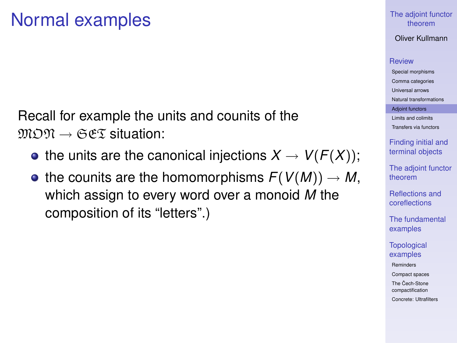Recall for example the units and counits of the  $\mathfrak{M} \mathfrak{M} \to \mathfrak{S} \mathfrak{E} \mathfrak{T}$  situation:

- the units are the canonical injections  $X \to V(F(X))$ ;
- the counits are the homomorphisms  $F(V(M)) \to M$ , which assign to every word over a monoid *M* the composition of its "letters".)

### [The adjoint functor](#page-0-0) theorem

Oliver Kullmann

#### **[Review](#page-4-0)**

[Special morphisms](#page-4-0) [Comma categories](#page-7-0) [Universal arrows](#page-9-0) [Natural transformations](#page-10-0) [Adjoint functors](#page-11-0) [Limits and colimits](#page-21-0)

[Transfers via functors](#page-25-0)

[Finding initial and](#page-33-0) terminal objects

[The adjoint functor](#page-37-0) theorem

[Reflections and](#page-41-0) coreflections

[The fundamental](#page-47-0) examples

**[Topological](#page-50-0)** examples

[Reminders](#page-50-0)

[Compact spaces](#page-55-0)

The Cech-Stone [compactification](#page-57-0)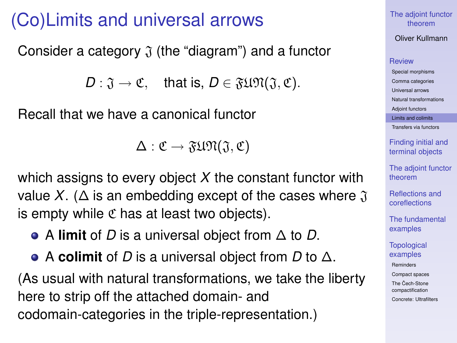### (Co)Limits and universal arrows

Consider a category  $\mathfrak J$  (the "diagram") and a functor

 $D: \mathfrak{J} \to \mathfrak{C}$ , that is,  $D \in \mathfrak{FUM}(\mathfrak{J}, \mathfrak{C})$ .

Recall that we have a canonical functor

 $\Delta: \mathfrak{C} \to \mathfrak{FUM}(\mathfrak{J},\mathfrak{C})$ 

which assigns to every object *X* the constant functor with value *X*. ( $\Delta$  is an embedding except of the cases where  $\mathfrak J$ is empty while  $\mathfrak C$  has at least two objects).

A **limit** of *D* is a universal object from ∆ to *D*.

<span id="page-21-0"></span>A **colimit** of *D* is a universal object from *D* to ∆. (As usual with natural transformations, we take the liberty here to strip off the attached domain- and codomain-categories in the triple-representation.)

[The adjoint functor](#page-0-0) theorem

Oliver Kullmann

#### **[Review](#page-4-0)**

[Special morphisms](#page-4-0) [Comma categories](#page-7-0) [Universal arrows](#page-9-0) [Natural transformations](#page-10-0) [Adjoint functors](#page-11-0) [Limits and colimits](#page-21-0) [Transfers via functors](#page-25-0)

> [Finding initial and](#page-33-0) terminal objects

[The adjoint functor](#page-37-0) theorem

[Reflections and](#page-41-0) coreflections

[The fundamental](#page-47-0) examples

**[Topological](#page-50-0)** examples [Reminders](#page-50-0) [Compact spaces](#page-55-0)

The Cech-Stone [compactification](#page-57-0)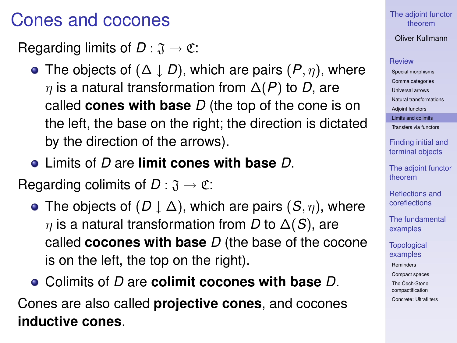### Cones and cocones

Regarding limits of  $D : \mathfrak{J} \to \mathfrak{C}$ :

- The objects of  $(\Delta \downarrow D)$ , which are pairs  $(P, \eta)$ , where η is a natural transformation from ∆(*P*) to *D*, are called **cones with base** *D* (the top of the cone is on the left, the base on the right; the direction is dictated by the direction of the arrows).
- Limits of *D* are **limit cones with base** *D*.

Regarding colimits of  $D : \mathfrak{J} \to \mathfrak{C}$ :

- The objects of  $(D \downarrow \Delta)$ , which are pairs  $(S, \eta)$ , where η is a natural transformation from *D* to ∆(*S*), are called **cocones with base** *D* (the base of the cocone is on the left, the top on the right).
- Colimits of *D* are **colimit cocones with base** *D*.

Cones are also called **projective cones**, and cocones **inductive cones**.

### [The adjoint functor](#page-0-0) theorem

Oliver Kullmann

### **[Review](#page-4-0)**

[Special morphisms](#page-4-0) [Comma categories](#page-7-0) [Universal arrows](#page-9-0) [Natural transformations](#page-10-0) [Adjoint functors](#page-11-0) [Limits and colimits](#page-21-0) [Transfers via functors](#page-25-0)

> [Finding initial and](#page-33-0) terminal objects

[The adjoint functor](#page-37-0) theorem

[Reflections and](#page-41-0) coreflections

[The fundamental](#page-47-0) examples

**[Topological](#page-50-0)** examples

[Reminders](#page-50-0)

[Compact spaces](#page-55-0)

The Cech-Stone [compactification](#page-57-0)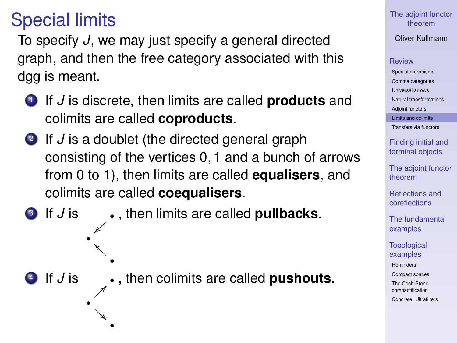## Special limits

~} } •

•

<sup>4</sup> If *J* is •

• A<br>A

A A A •

To specify *J*, we may just specify a general directed graph, and then the free category associated with this dgg is meant.

- <sup>1</sup> If *J* is discrete, then limits are called **products** and colimits are called **coproducts**.
- 2 If *J* is a doublet (the directed general graph consisting of the vertices 0, 1 and a bunch of arrows from 0 to 1), then limits are called **equalisers**, and colimits are called **coequalisers**.
- <sup>3</sup> If *J* is , then limits are called **pullbacks**.

>}}} , then colimits are called **pushouts**. [The adjoint functor](#page-0-0) theorem

Oliver Kullmann

#### **[Review](#page-4-0)**

[Special morphisms](#page-4-0) [Comma categories](#page-7-0) [Universal arrows](#page-9-0) [Natural transformations](#page-10-0) [Adjoint functors](#page-11-0)

[Limits and colimits](#page-21-0)

[Transfers via functors](#page-25-0)

[Finding initial and](#page-33-0) terminal objects

[The adjoint functor](#page-37-0) theorem

[Reflections and](#page-41-0) coreflections

[The fundamental](#page-47-0) examples

**[Topological](#page-50-0)** examples

[Reminders](#page-50-0)

[Compact spaces](#page-55-0)

The Cech-Stone [compactification](#page-57-0)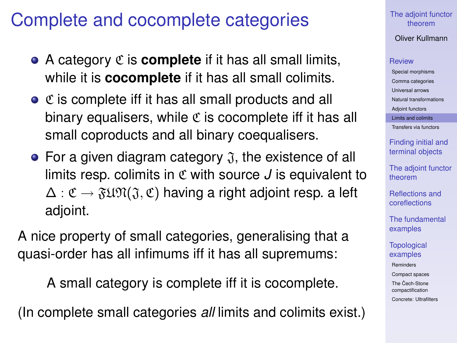### Complete and cocomplete categories

- A category C is **complete** if it has all small limits, while it is **cocomplete** if it has all small colimits.
- $\bullet$   $\mathfrak C$  is complete iff it has all small products and all binary equalisers, while  $\mathfrak C$  is cocomplete iff it has all small coproducts and all binary coequalisers.
- For a given diagram category  $\mathfrak{J}$ , the existence of all limits resp. colimits in C with source *J* is equivalent to  $\Delta: \mathfrak{C} \to \mathfrak{FUM}(\mathfrak{J}, \mathfrak{C})$  having a right adjoint resp. a left adjoint.

A nice property of small categories, generalising that a quasi-order has all infimums iff it has all supremums:

A small category is complete iff it is cocomplete.

(In complete small categories *all* limits and colimits exist.)

#### [The adjoint functor](#page-0-0) theorem

Oliver Kullmann

#### **[Review](#page-4-0)**

[Special morphisms](#page-4-0) [Comma categories](#page-7-0) [Universal arrows](#page-9-0) [Natural transformations](#page-10-0) [Adjoint functors](#page-11-0) [Limits and colimits](#page-21-0)

[Transfers via functors](#page-25-0)

[Finding initial and](#page-33-0) terminal objects

[The adjoint functor](#page-37-0) theorem

[Reflections and](#page-41-0) coreflections

[The fundamental](#page-47-0) examples

**[Topological](#page-50-0)** examples

[Reminders](#page-50-0)

[Compact spaces](#page-55-0)

The Cech-Stone [compactification](#page-57-0)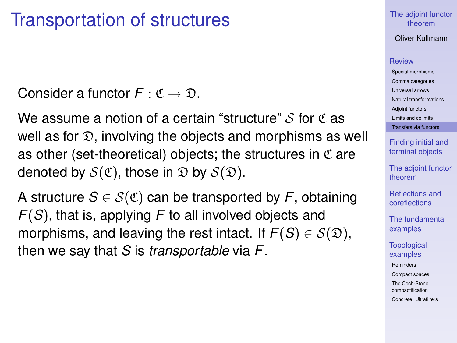### Transportation of structures

Consider a functor  $F: \mathfrak{C} \to \mathfrak{D}$ .

We assume a notion of a certain "structure"  $\mathcal S$  for  $\mathfrak C$  as well as for  $\mathfrak D$ , involving the objects and morphisms as well as other (set-theoretical) objects; the structures in  $\mathfrak C$  are denoted by  $S(\mathfrak{C})$ , those in  $\mathfrak{D}$  by  $S(\mathfrak{D})$ .

<span id="page-25-0"></span>A structure  $S \in \mathcal{S}(\mathfrak{C})$  can be transported by F, obtaining *F*(*S*), that is, applying *F* to all involved objects and morphisms, and leaving the rest intact. If  $F(S) \in S(\mathfrak{D})$ , then we say that *S* is *transportable* via *F*.

### [The adjoint functor](#page-0-0) theorem

Oliver Kullmann

#### **[Review](#page-4-0)**

[Special morphisms](#page-4-0) [Comma categories](#page-7-0) [Universal arrows](#page-9-0) [Natural transformations](#page-10-0) [Adjoint functors](#page-11-0) [Limits and colimits](#page-21-0) [Transfers via functors](#page-25-0)

[Finding initial and](#page-33-0) terminal objects

[The adjoint functor](#page-37-0) theorem

[Reflections and](#page-41-0) coreflections

[The fundamental](#page-47-0) examples

**[Topological](#page-50-0)** examples

[Reminders](#page-50-0)

[Compact spaces](#page-55-0)

The Cech-Stone [compactification](#page-57-0)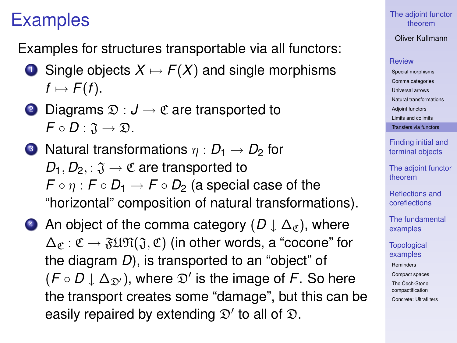### Examples

Examples for structures transportable via all functors:

- **1** Single objects  $X \mapsto F(X)$  and single morphisms  $f \mapsto F(f)$ .
- 2 Diagrams  $\mathfrak{D}: J \to \mathfrak{C}$  are transported to  $F \circ D : \mathfrak{J} \to \mathfrak{D}.$
- **3** Natural transformations  $\eta : D_1 \to D_2$  for  $D_1, D_2, \colon \mathfrak{J} \to \mathfrak{C}$  are transported to  $F \circ \eta : F \circ D_1 \to F \circ D_2$  (a special case of the "horizontal" composition of natural transformations).
- 4 An object of the comma category  $(D \downarrow \Delta_{\sigma})$ , where  $\Delta_{\mathscr{C}}: \mathfrak{C} \to \mathfrak{FUM}(\mathfrak{J}, \mathfrak{C})$  (in other words, a "cocone" for the diagram *D*), is transported to an "object" of  $(F \circ D \downarrow \Delta_{\mathfrak{D}'})$ , where  $\mathfrak{D}'$  is the image of F. So here the transport creates some "damage", but this can be easily repaired by extending  $\mathfrak{D}'$  to all of  $\mathfrak{D}$ .

[The adjoint functor](#page-0-0) theorem

Oliver Kullmann

#### **[Review](#page-4-0)**

[Special morphisms](#page-4-0) [Comma categories](#page-7-0) [Universal arrows](#page-9-0) [Natural transformations](#page-10-0) [Adjoint functors](#page-11-0) [Limits and colimits](#page-21-0) [Transfers via functors](#page-25-0)

[Finding initial and](#page-33-0) terminal objects

[The adjoint functor](#page-37-0) theorem

[Reflections and](#page-41-0) coreflections

[The fundamental](#page-47-0) examples

**[Topological](#page-50-0)** examples [Reminders](#page-50-0) [Compact spaces](#page-55-0) The Cech-Stone [compactification](#page-57-0) [Concrete: Ultrafilters](#page-59-0)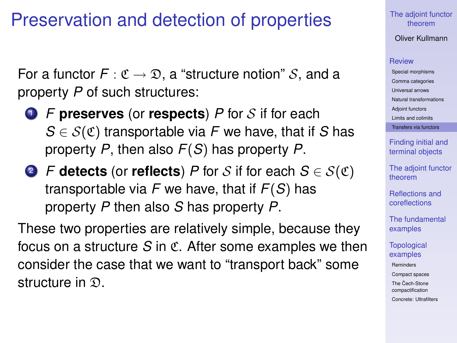### Preservation and detection of properties

For a functor  $F: \mathfrak{C} \to \mathfrak{D}$ , a "structure notion" S, and a property *P* of such structures:

- <sup>1</sup> *F* **preserves** (or **respects**) *P* for S if for each  $S \in \mathcal{S}(\mathfrak{C})$  transportable via *F* we have, that if *S* has property *P*, then also *F*(*S*) has property *P*.
- 2 *F* **detects** (or **reflects**) *P* for *S* if for each  $S \in S(\mathfrak{C})$ transportable via *F* we have, that if *F*(*S*) has property *P* then also *S* has property *P*.

These two properties are relatively simple, because they focus on a structure *S* in C. After some examples we then consider the case that we want to "transport back" some structure in  $\mathfrak{D}$ .

[The adjoint functor](#page-0-0) theorem

Oliver Kullmann

#### **[Review](#page-4-0)**

[Special morphisms](#page-4-0) [Comma categories](#page-7-0) [Universal arrows](#page-9-0) [Natural transformations](#page-10-0) [Adjoint functors](#page-11-0) [Limits and colimits](#page-21-0)

[Transfers via functors](#page-25-0)

[Finding initial and](#page-33-0) terminal objects

[The adjoint functor](#page-37-0) theorem

[Reflections and](#page-41-0) coreflections

[The fundamental](#page-47-0) examples

**[Topological](#page-50-0)** examples

[Reminders](#page-50-0)

[Compact spaces](#page-55-0)

The Cech-Stone [compactification](#page-57-0)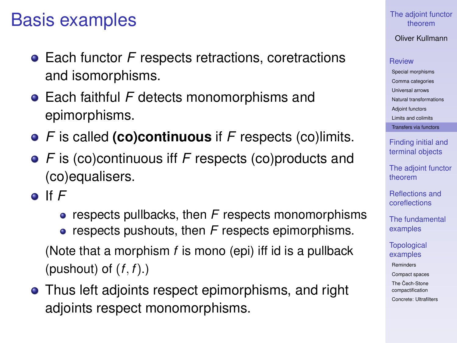### Basis examples

- **•** Each functor *F* respects retractions, coretractions and isomorphisms.
- Each faithful *F* detects monomorphisms and epimorphisms.
- *F* is called **(co)continuous** if *F* respects (co)limits.
- *F* is (co)continuous iff *F* respects (co)products and (co)equalisers.
- If *F*
	- **•** respects pullbacks, then *F* respects monomorphisms **•** respects pushouts, then *F* respects epimorphisms.
	- (Note that a morphism *f* is mono (epi) iff id is a pullback (pushout) of (*f*, *f*).)
- Thus left adjoints respect epimorphisms, and right adjoints respect monomorphisms.

### [The adjoint functor](#page-0-0) theorem

Oliver Kullmann

### **[Review](#page-4-0)**

[Special morphisms](#page-4-0) [Comma categories](#page-7-0) [Universal arrows](#page-9-0) [Natural transformations](#page-10-0) [Adjoint functors](#page-11-0) [Limits and colimits](#page-21-0) [Transfers via functors](#page-25-0)

[Finding initial and](#page-33-0) terminal objects

[The adjoint functor](#page-37-0) theorem

[Reflections and](#page-41-0) coreflections

[The fundamental](#page-47-0) examples

**[Topological](#page-50-0)** examples

[Reminders](#page-50-0)

[Compact spaces](#page-55-0)

The Cech-Stone [compactification](#page-57-0)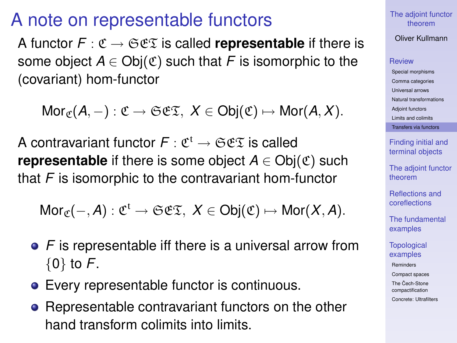### A note on representable functors

A functor  $F: \mathfrak{C} \to \mathfrak{S} \mathfrak{C} \mathfrak{T}$  is called **representable** if there is some object  $A \in Ob(\mathfrak{C})$  such that *F* is isomorphic to the (covariant) hom-functor

 $Mor_{\mathscr{C}}(A, -): \mathfrak{C} \to \mathfrak{S} \mathfrak{C} \mathfrak{T}, X \in Obi(\mathfrak{C}) \mapsto Mor(A, X).$ 

A contravariant functor  $F: \mathfrak{C}^{\mathfrak{t}} \to \mathfrak{S}\mathfrak{C}\mathfrak{T}$  is called **representable** if there is some object  $A \in Ob(\mathfrak{C})$  such that *F* is isomorphic to the contravariant hom-functor

 $Mor_{\mathfrak{C}}(-, A) : \mathfrak{C}^{\mathfrak{t}} \to \mathfrak{S}\mathfrak{E}\mathfrak{T}, X \in \mathsf{Obj}(\mathfrak{C}) \mapsto \mathsf{Mor}(X, A).$ 

- *F* is representable iff there is a universal arrow from {0} to *F*.
- Every representable functor is continuous.
- Representable contravariant functors on the other hand transform colimits into limits.

[The adjoint functor](#page-0-0) theorem

Oliver Kullmann

### **[Review](#page-4-0)**

[Special morphisms](#page-4-0) [Comma categories](#page-7-0) [Universal arrows](#page-9-0) [Natural transformations](#page-10-0) [Adjoint functors](#page-11-0) [Limits and colimits](#page-21-0) [Transfers via functors](#page-25-0)

[Finding initial and](#page-33-0) terminal objects

[The adjoint functor](#page-37-0) theorem

[Reflections and](#page-41-0) coreflections

[The fundamental](#page-47-0) examples

**[Topological](#page-50-0)** examples

[Reminders](#page-50-0)

[Compact spaces](#page-55-0)

The Cech-Stone [compactification](#page-57-0)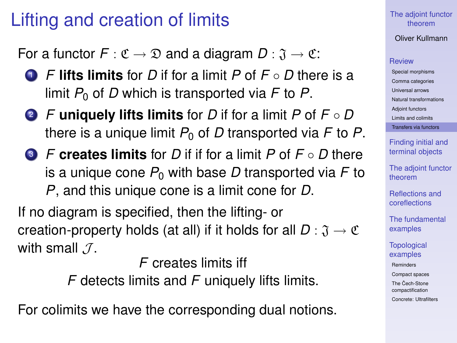### Lifting and creation of limits

For a functor  $F: \mathfrak{C} \to \mathfrak{D}$  and a diagram  $D: \mathfrak{J} \to \mathfrak{C}$ :

- <sup>1</sup> *F* **lifts limits** for *D* if for a limit *P* of *F D* there is a limit  $P_0$  of D which is transported via F to P.
- <sup>2</sup> *F* **uniquely lifts limits** for *D* if for a limit *P* of *F D* there is a unique limit  $P_0$  of D transported via F to P.
- <sup>3</sup> *F* **creates limits** for *D* if if for a limit *P* of *F D* there is a unique cone  $P_0$  with base D transported via F to *P*, and this unique cone is a limit cone for *D*.

If no diagram is specified, then the lifting- or creation-property holds (at all) if it holds for all  $D : \mathfrak{J} \to \mathfrak{C}$ with small  $\mathcal{J}$ .

*F* creates limits iff

*F* detects limits and *F* uniquely lifts limits.

For colimits we have the corresponding dual notions.

### [The adjoint functor](#page-0-0) theorem

Oliver Kullmann

#### **[Review](#page-4-0)**

[Special morphisms](#page-4-0) [Comma categories](#page-7-0) [Universal arrows](#page-9-0) [Natural transformations](#page-10-0) [Adjoint functors](#page-11-0) [Limits and colimits](#page-21-0) [Transfers via functors](#page-25-0)

[Finding initial and](#page-33-0) terminal objects

[The adjoint functor](#page-37-0) theorem

[Reflections and](#page-41-0) coreflections

[The fundamental](#page-47-0) examples

**[Topological](#page-50-0)** examples

[Reminders](#page-50-0)

[Compact spaces](#page-55-0)

The Cech-Stone [compactification](#page-57-0)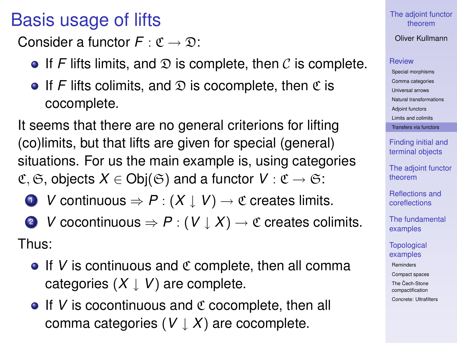### Basis usage of lifts

Consider a functor  $F : \mathfrak{C} \to \mathfrak{D}$ :

- **•** If *F* lifts limits, and  $\mathcal{D}$  is complete, then  $\mathcal{C}$  is complete.
- **•** If *F* lifts colimits, and  $\mathcal{D}$  is cocomplete, then  $\mathfrak{C}$  is cocomplete.

It seems that there are no general criterions for lifting (co)limits, but that lifts are given for special (general) situations. For us the main example is, using categories  $\mathfrak{C}, \mathfrak{S},$  objects  $X \in \mathsf{Obj}(\mathfrak{S})$  and a functor  $V : \mathfrak{C} \to \mathfrak{S}$ .

- **1** *V* continuous  $\Rightarrow$  *P* :  $(X \downarrow V)$  →  $\textcirc$  creates limits.
- 2 *V* cocontinuous  $\Rightarrow$  *P* :  $(V \downarrow X) \rightarrow C$  creates colimits. Thus:
	- $\bullet$  If *V* is continuous and  $\mathfrak C$  complete, then all comma categories  $(X \mid V)$  are complete.
	- $\bullet$  If *V* is cocontinuous and  $\mathfrak C$  cocomplete, then all comma categories  $(V \downarrow X)$  are cocomplete.

### [The adjoint functor](#page-0-0) theorem

Oliver Kullmann

### [Review](#page-4-0)

[Special morphisms](#page-4-0) [Comma categories](#page-7-0) [Universal arrows](#page-9-0) [Natural transformations](#page-10-0) [Adjoint functors](#page-11-0) [Limits and colimits](#page-21-0) [Transfers via functors](#page-25-0)

[Finding initial and](#page-33-0) terminal objects

[The adjoint functor](#page-37-0) theorem

[Reflections and](#page-41-0) coreflections

[The fundamental](#page-47-0) examples

**[Topological](#page-50-0)** examples

[Reminders](#page-50-0)

[Compact spaces](#page-55-0)

The Cech-Stone [compactification](#page-57-0)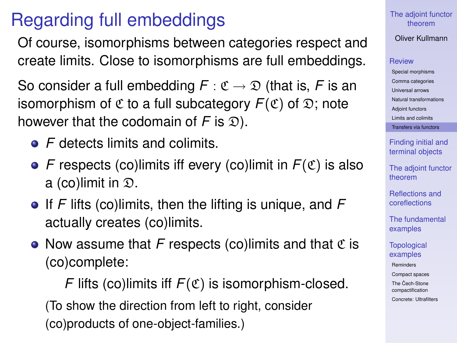## Regarding full embeddings

Of course, isomorphisms between categories respect and create limits. Close to isomorphisms are full embeddings.

So consider a full embedding  $F : \mathfrak{C} \to \mathfrak{D}$  (that is, F is an isomorphism of  $\mathfrak C$  to a full subcategory  $F(\mathfrak C)$  of  $\mathfrak D$ ; note however that the codomain of  $F$  is  $\mathfrak{D}$ ).

- *F* detects limits and colimits.
- $\bullet$  *F* respects (co)limits iff every (co)limit in  $F(\mathfrak{C})$  is also a (co)limit in  $\mathfrak{D}$ .
- If *F* lifts (co)limits, then the lifting is unique, and *F* actually creates (co)limits.
- Now assume that F respects (co)limits and that  $\mathfrak C$  is (co)complete:

*F* lifts (co)limits iff  $F(\mathfrak{C})$  is isomorphism-closed. (To show the direction from left to right, consider (co)products of one-object-families.)

#### [The adjoint functor](#page-0-0) theorem

Oliver Kullmann

### **[Review](#page-4-0)**

[Special morphisms](#page-4-0) [Comma categories](#page-7-0) [Universal arrows](#page-9-0) [Natural transformations](#page-10-0) [Adjoint functors](#page-11-0) [Limits and colimits](#page-21-0) [Transfers via functors](#page-25-0)

[Finding initial and](#page-33-0) terminal objects

[The adjoint functor](#page-37-0) theorem

[Reflections and](#page-41-0) coreflections

[The fundamental](#page-47-0) examples

**[Topological](#page-50-0)** examples

[Reminders](#page-50-0)

[Compact spaces](#page-55-0)

The Cech-Stone [compactification](#page-57-0)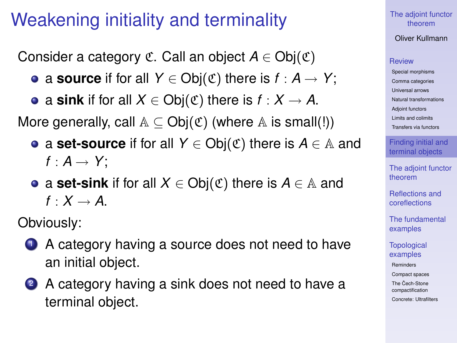### Weakening initiality and terminality

Consider a category  $\mathfrak{C}$ . Call an object  $A \in Ob(\mathfrak{C})$ 

- **•** a **source** if for all *Y* ∈ Obj( $\mathfrak{C}$ ) there is *f* : *A* → *Y*;
- $\bullet$  a sink if for all *X* ∈ Obj( $\mathfrak{C}$ ) there is *f* : *X* → *A*.

More generally, call  $A \subseteq Obj(\mathfrak{C})$  (where A is small(!))

- a **set-source** if for all *Y* ∈ Obj(C) there is *A* ∈ A and  $f: A \rightarrow Y$ :
- **•** a **set-sink** if for all  $X \in Ob_i(\mathfrak{C})$  there is  $A \in \mathbb{A}$  and  $f \cdot X \rightarrow A$

Obviously:

- **1** A category having a source does not need to have an initial object.
- <span id="page-33-0"></span>2 A category having a sink does not need to have a terminal object.

[The adjoint functor](#page-0-0) theorem

Oliver Kullmann

#### **[Review](#page-4-0)**

[Special morphisms](#page-4-0) [Comma categories](#page-7-0) [Universal arrows](#page-9-0) [Natural transformations](#page-10-0) [Adjoint functors](#page-11-0) [Limits and colimits](#page-21-0) [Transfers via functors](#page-25-0)

[Finding initial and](#page-33-0) terminal objects

[The adjoint functor](#page-37-0) theorem

[Reflections and](#page-41-0) coreflections

[The fundamental](#page-47-0) examples

**[Topological](#page-50-0)** examples

[Reminders](#page-50-0)

[Compact spaces](#page-55-0)

The Cech-Stone [compactification](#page-57-0)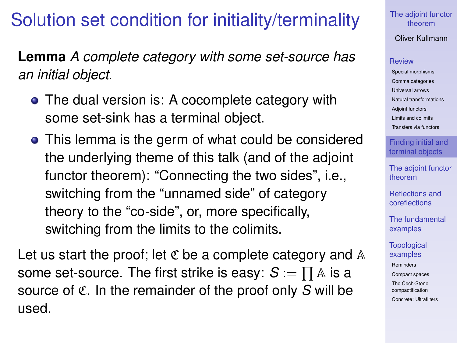### Solution set condition for initiality/terminality

**Lemma** *A complete category with some set-source has an initial object.*

- The dual version is: A cocomplete category with some set-sink has a terminal object.
- This lemma is the germ of what could be considered the underlying theme of this talk (and of the adjoint functor theorem): "Connecting the two sides", i.e., switching from the "unnamed side" of category theory to the "co-side", or, more specifically, switching from the limits to the colimits.

Let us start the proof; let  $\mathfrak C$  be a complete category and  $\mathbb A$ some set-source. The first strike is easy:  $S := \prod A$  is a source of C. In the remainder of the proof only *S* will be used.

[The adjoint functor](#page-0-0) theorem

Oliver Kullmann

### **[Review](#page-4-0)**

[Special morphisms](#page-4-0) [Comma categories](#page-7-0) [Universal arrows](#page-9-0) [Natural transformations](#page-10-0) [Adjoint functors](#page-11-0) [Limits and colimits](#page-21-0) [Transfers via functors](#page-25-0)

[Finding initial and](#page-33-0) terminal objects

[The adjoint functor](#page-37-0) theorem

[Reflections and](#page-41-0) coreflections

[The fundamental](#page-47-0) examples

**[Topological](#page-50-0)** examples

[Reminders](#page-50-0)

[Compact spaces](#page-55-0)

The Cech-Stone [compactification](#page-57-0)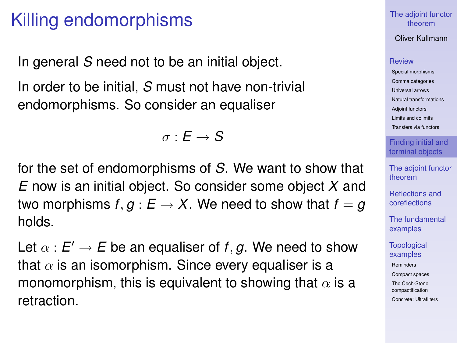### Killing endomorphisms

In general *S* need not to be an initial object.

In order to be initial, *S* must not have non-trivial endomorphisms. So consider an equaliser

$$
\sigma:E\to\mathcal{S}
$$

for the set of endomorphisms of *S*. We want to show that *E* now is an initial object. So consider some object *X* and two morphisms  $f, g : E \to X$ . We need to show that  $f = g$ holds.

Let  $\alpha$  :  $E' \to E$  be an equaliser of  $f, g$ . We need to show that  $\alpha$  is an isomorphism. Since every equaliser is a monomorphism, this is equivalent to showing that  $\alpha$  is a retraction.

[The adjoint functor](#page-0-0) theorem

Oliver Kullmann

#### **[Review](#page-4-0)**

[Special morphisms](#page-4-0) [Comma categories](#page-7-0) [Universal arrows](#page-9-0) [Natural transformations](#page-10-0) [Adjoint functors](#page-11-0) [Limits and colimits](#page-21-0) [Transfers via functors](#page-25-0)

[Finding initial and](#page-33-0) terminal objects

[The adjoint functor](#page-37-0) theorem

[Reflections and](#page-41-0) coreflections

[The fundamental](#page-47-0) examples

**[Topological](#page-50-0)** examples

[Reminders](#page-50-0)

[Compact spaces](#page-55-0)

The Cech-Stone [compactification](#page-57-0)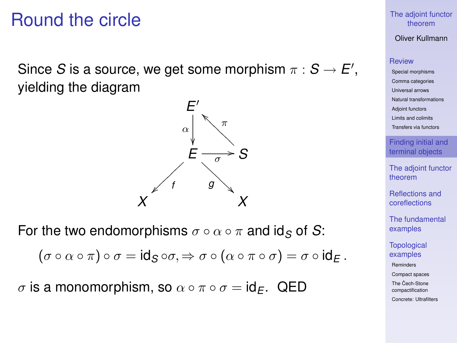### Round the circle

Since *S* is a source, we get some morphism  $\pi : S \to E'$ , yielding the diagram

> *E*  $\overline{\phantom{a}}$ α  $\overline{a}$  $E\frac{1}{\sqrt{2}}$ / *<sup>f</sup>* <sup>~</sup> ~ ~ ~ *g* A ŗ. A A A A A  $\overrightarrow{a}$  S π  $\bigwedge_{\alpha}$ *X X*

For the two endomorphisms  $\sigma \circ \alpha \circ \pi$  and id<sub>S</sub> of S:

$$
(\sigma\circ\alpha\circ\pi)\circ\sigma=\text{id}_S\circ\sigma,\Rightarrow\sigma\circ(\alpha\circ\pi\circ\sigma)=\sigma\circ\text{id}_E\,.
$$

σ is a monomorphism, so α ◦ π ◦ σ = id*E*. QED

#### [The adjoint functor](#page-0-0) theorem

Oliver Kullmann

### [Review](#page-4-0)

[Special morphisms](#page-4-0) [Comma categories](#page-7-0) [Universal arrows](#page-9-0) [Natural transformations](#page-10-0) [Adjoint functors](#page-11-0) [Limits and colimits](#page-21-0) [Transfers via functors](#page-25-0)

[Finding initial and](#page-33-0) terminal objects

[The adjoint functor](#page-37-0) theorem

[Reflections and](#page-41-0) coreflections

[The fundamental](#page-47-0) examples

**[Topological](#page-50-0)** examples

[Reminders](#page-50-0)

[Compact spaces](#page-55-0)

The Cech-Stone [compactification](#page-57-0)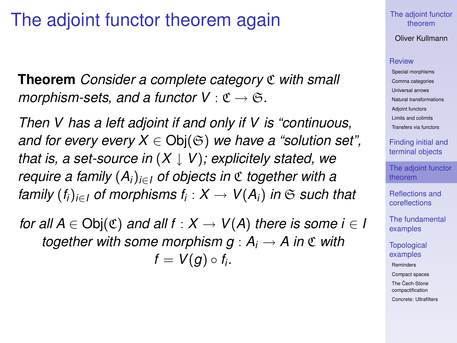### The adjoint functor theorem again

**Theorem** *Consider a complete category* C *with small morphism-sets, and a functor*  $V : \mathfrak{C} \to \mathfrak{S}$ .

*Then V has a left adjoint if and only if V is "continuous, and for every every*  $X \in Ob(G)$  *we have a "solution set", that is, a set-source in* (*X* ↓ *V*)*; explicitely stated, we require a family* (*Ai*)*i*∈*<sup>I</sup> of objects in* C *together with a family* (*fi*)*i*∈*<sup>I</sup> of morphisms f<sup>i</sup>* : *X* → *V*(*Ai*) *in* S *such that*

<span id="page-37-0"></span>*for all A*  $\in$  Obj $(\mathfrak{C})$  *and all f* :  $X \rightarrow V(A)$  *there is some i*  $\in I$ *together with some morphism*  $g : A_i \to A$  *in*  $\mathfrak C$  *with*  $f = V(g) \circ f_i$ .

#### [The adjoint functor](#page-0-0) theorem

Oliver Kullmann

#### **[Review](#page-4-0)**

[Special morphisms](#page-4-0) [Comma categories](#page-7-0) [Universal arrows](#page-9-0) [Natural transformations](#page-10-0) [Adjoint functors](#page-11-0) [Limits and colimits](#page-21-0) [Transfers via functors](#page-25-0)

[Finding initial and](#page-33-0) terminal objects

[The adjoint functor](#page-37-0) theorem

[Reflections and](#page-41-0) coreflections

[The fundamental](#page-47-0) examples

**[Topological](#page-50-0)** examples

[Reminders](#page-50-0)

[Compact spaces](#page-55-0)

The Cech-Stone [compactification](#page-57-0)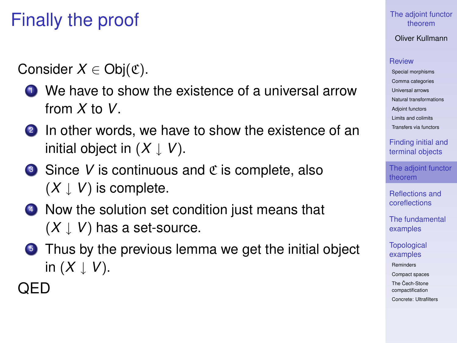## Finally the proof

Consider  $X \in Ob<sub>i</sub>(\mathfrak{C})$ .

- **1** We have to show the existence of a universal arrow from *X* to *V*.
- 2 In other words, we have to show the existence of an initial object in  $(X \downarrow V)$ .
- $\bullet$  Since *V* is continuous and  $\mathfrak C$  is complete, also  $(X \downarrow V)$  is complete.
- <sup>4</sup> Now the solution set condition just means that  $(X \downarrow V)$  has a set-source.
- **5** Thus by the previous lemma we get the initial object in  $(X \downarrow V)$ .

### QED

### [The adjoint functor](#page-0-0) theorem

Oliver Kullmann

### **[Review](#page-4-0)**

[Special morphisms](#page-4-0) [Comma categories](#page-7-0) [Universal arrows](#page-9-0) [Natural transformations](#page-10-0) [Adjoint functors](#page-11-0) [Limits and colimits](#page-21-0) [Transfers via functors](#page-25-0)

[Finding initial and](#page-33-0) terminal objects

[The adjoint functor](#page-37-0) theorem

[Reflections and](#page-41-0) coreflections

[The fundamental](#page-47-0) examples

**[Topological](#page-50-0)** examples

[Reminders](#page-50-0)

[Compact spaces](#page-55-0)

The Cech-Stone [compactification](#page-57-0)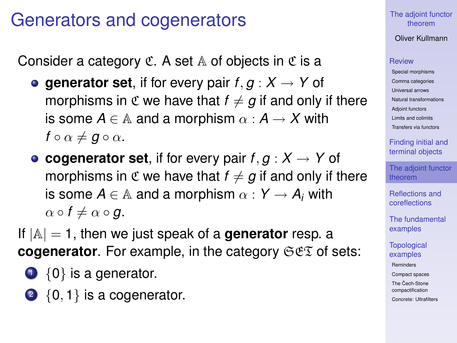### Generators and cogenerators

Consider a category  $\mathfrak C$ . A set  $\mathbb A$  of objects in  $\mathfrak C$  is a

- **e** generator set, if for every pair  $f, g: X \rightarrow Y$  of morphisms in  $\mathfrak C$  we have that  $f \neq g$  if and only if there is some  $A \in \mathbb{A}$  and a morphism  $\alpha : A \rightarrow X$  with  $f \circ \alpha \neq \mathbf{g} \circ \alpha$ .
- **e** cogenerator set, if for every pair  $f, g: X \to Y$  of morphisms in  $\mathfrak C$  we have that  $f \neq g$  if and only if there is some  $A \in A$  and a morphism  $\alpha : Y \to A_i$  with  $\alpha \circ f \neq \alpha \circ g$ .
- If |A| = 1, then we just speak of a **generator** resp. a **cogenerator**. For example, in the category  $\Im \mathfrak{C} \mathfrak{D}$  of sets:
	- $\bigcirc$  {0} is a generator.
	- $2 \{0, 1\}$  is a cogenerator.

### [The adjoint functor](#page-0-0) theorem

Oliver Kullmann

### **[Review](#page-4-0)**

[Special morphisms](#page-4-0) [Comma categories](#page-7-0) [Universal arrows](#page-9-0) [Natural transformations](#page-10-0) [Adjoint functors](#page-11-0) [Limits and colimits](#page-21-0) [Transfers via functors](#page-25-0)

[Finding initial and](#page-33-0) terminal objects

[The adjoint functor](#page-37-0) theorem

[Reflections and](#page-41-0) coreflections

[The fundamental](#page-47-0) examples

**[Topological](#page-50-0)** examples

[Reminders](#page-50-0)

[Compact spaces](#page-55-0)

The Cech-Stone [compactification](#page-57-0)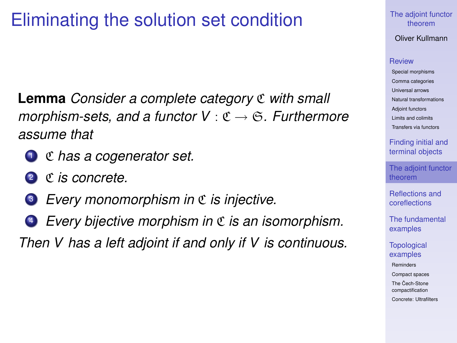### Eliminating the solution set condition

**Lemma** *Consider a complete category* C *with small morphism-sets, and a functor V* : C → S*. Furthermore assume that*

- <sup>1</sup> C *has a cogenerator set.*
- 2 C *is concrete*.
- <sup>3</sup> *Every monomorphism in* C *is injective.*
- <sup>4</sup> *Every bijective morphism in* C *is an isomorphism.*

*Then V has a left adjoint if and only if V is continuous.*

#### [The adjoint functor](#page-0-0) theorem

Oliver Kullmann

#### **[Review](#page-4-0)**

[Special morphisms](#page-4-0) [Comma categories](#page-7-0) [Universal arrows](#page-9-0) [Natural transformations](#page-10-0) [Adjoint functors](#page-11-0) [Limits and colimits](#page-21-0) [Transfers via functors](#page-25-0)

[Finding initial and](#page-33-0) terminal objects

[The adjoint functor](#page-37-0) theorem

[Reflections and](#page-41-0) coreflections

[The fundamental](#page-47-0) examples

**[Topological](#page-50-0)** examples

[Reminders](#page-50-0)

[Compact spaces](#page-55-0)

The Cech-Stone [compactification](#page-57-0)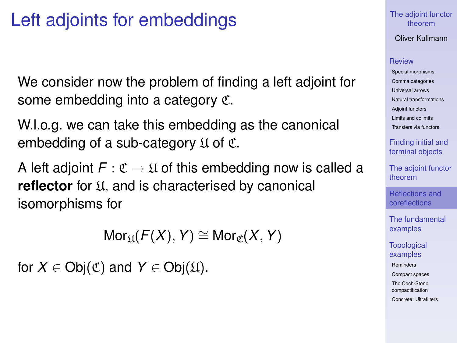### Left adjoints for embeddings

We consider now the problem of finding a left adjoint for some embedding into a category C.

W.l.o.g. we can take this embedding as the canonical embedding of a sub-category  $\mathfrak U$  of  $\mathfrak C$ .

A left adjoint  $F: \mathfrak{C} \to \mathfrak{U}$  of this embedding now is called a **reflector** for U, and is characterised by canonical isomorphisms for

 $Mor_{U}(F(X), Y) \cong Mor_{\sigma}(X, Y)$ 

<span id="page-41-0"></span>for  $X \in Ob(\mathfrak{C})$  and  $Y \in Ob(\mathfrak{U})$ .

### [The adjoint functor](#page-0-0) theorem

Oliver Kullmann

#### **[Review](#page-4-0)**

[Special morphisms](#page-4-0) [Comma categories](#page-7-0) [Universal arrows](#page-9-0) [Natural transformations](#page-10-0) [Adjoint functors](#page-11-0) [Limits and colimits](#page-21-0) [Transfers via functors](#page-25-0)

[Finding initial and](#page-33-0) terminal objects

[The adjoint functor](#page-37-0) theorem

[Reflections and](#page-41-0) coreflections

[The fundamental](#page-47-0) examples

**[Topological](#page-50-0)** examples

[Reminders](#page-50-0)

[Compact spaces](#page-55-0)

The Cech-Stone [compactification](#page-57-0)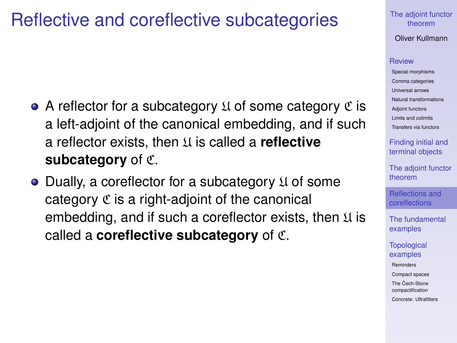### Reflective and coreflective subcategories

- $\bullet$  A reflector for a subcategory  $\mathfrak U$  of some category  $\mathfrak C$  is a left-adjoint of the canonical embedding, and if such a reflector exists, then U is called a **reflective subcategory** of C.
- $\bullet$  Dually, a coreflector for a subcategory  $\mathfrak U$  of some category  $\mathfrak C$  is a right-adjoint of the canonical embedding, and if such a coreflector exists, then  $\mathfrak U$  is called a **coreflective subcategory** of C.

[The adjoint functor](#page-0-0) theorem

Oliver Kullmann

#### **[Review](#page-4-0)**

[Special morphisms](#page-4-0) [Comma categories](#page-7-0) [Universal arrows](#page-9-0) [Natural transformations](#page-10-0) [Adjoint functors](#page-11-0) [Limits and colimits](#page-21-0) [Transfers via functors](#page-25-0)

[Finding initial and](#page-33-0) terminal objects

[The adjoint functor](#page-37-0) theorem

[Reflections and](#page-41-0) coreflections

[The fundamental](#page-47-0) examples

**[Topological](#page-50-0)** examples

[Reminders](#page-50-0)

[Compact spaces](#page-55-0)

The Cech-Stone [compactification](#page-57-0)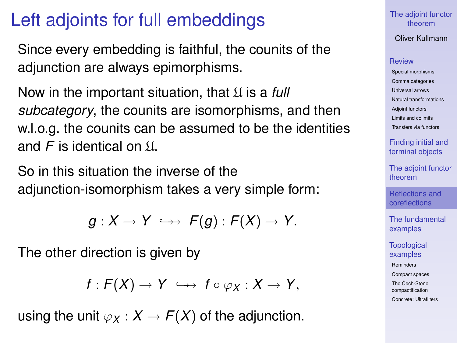### Left adjoints for full embeddings

Since every embedding is faithful, the counits of the adjunction are always epimorphisms.

Now in the important situation, that  $\mathfrak U$  is a *full subcategory*, the counits are isomorphisms, and then w.l.o.g. the counits can be assumed to be the identities and *F* is identical on  $\Pi$ .

So in this situation the inverse of the adjunction-isomorphism takes a very simple form:

$$
g:X\to Y\iff F(g):F(X)\to Y.
$$

The other direction is given by

$$
f: F(X) \to Y \iff f \circ \varphi_X : X \to Y,
$$

using the unit  $\varphi_X : X \to F(X)$  of the adjunction.

[The adjoint functor](#page-0-0) theorem

Oliver Kullmann

#### **[Review](#page-4-0)**

[Special morphisms](#page-4-0) [Comma categories](#page-7-0) [Universal arrows](#page-9-0) [Natural transformations](#page-10-0) [Adjoint functors](#page-11-0) [Limits and colimits](#page-21-0) [Transfers via functors](#page-25-0)

[Finding initial and](#page-33-0) terminal objects

[The adjoint functor](#page-37-0) theorem

[Reflections and](#page-41-0) coreflections

[The fundamental](#page-47-0) examples

**[Topological](#page-50-0)** examples

[Reminders](#page-50-0)

[Compact spaces](#page-55-0)

The Cech-Stone [compactification](#page-57-0)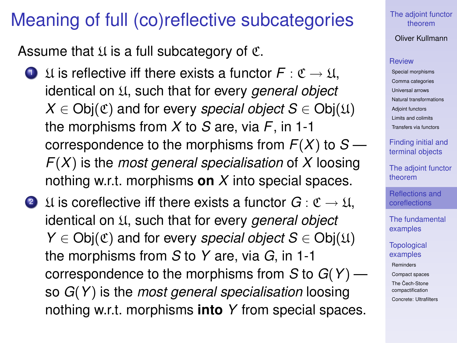### Meaning of full (co)reflective subcategories

Assume that  $\mathfrak U$  is a full subcategory of  $\mathfrak C$ .

- **1** U is reflective iff there exists a functor  $F : \mathfrak{C} \to \mathfrak{U}$ , identical on U, such that for every *general object*  $X \in Ob_i(\mathfrak{C})$  and for every *special object*  $S \in Ob_i(\mathfrak{U})$ the morphisms from *X* to *S* are, via *F*, in 1-1 correspondence to the morphisms from  $F(X)$  to  $S$  — *F*(*X*) is the *most general specialisation* of *X* loosing nothing w.r.t. morphisms **on** *X* into special spaces.
- 2 U is coreflective iff there exists a functor  $G: \mathfrak{C} \to \mathfrak{U}$ , identical on U, such that for every *general object Y*  $\in$  Obj $(\mathfrak{C})$  and for every *special object*  $S \in$  Obj $(\mathfrak{U})$ the morphisms from *S* to *Y* are, via *G*, in 1-1 correspondence to the morphisms from *S* to *G*(*Y*) so *G*(*Y*) is the *most general specialisation* loosing nothing w.r.t. morphisms **into** *Y* from special spaces.

[The adjoint functor](#page-0-0) theorem

Oliver Kullmann

#### **[Review](#page-4-0)**

[Special morphisms](#page-4-0) [Comma categories](#page-7-0) [Universal arrows](#page-9-0) [Natural transformations](#page-10-0) [Adjoint functors](#page-11-0) [Limits and colimits](#page-21-0) [Transfers via functors](#page-25-0)

[Finding initial and](#page-33-0) terminal objects

[The adjoint functor](#page-37-0) theorem

[Reflections and](#page-41-0) coreflections

[The fundamental](#page-47-0) examples

**[Topological](#page-50-0)** examples

[Reminders](#page-50-0)

[Compact spaces](#page-55-0)

The Cech-Stone [compactification](#page-57-0)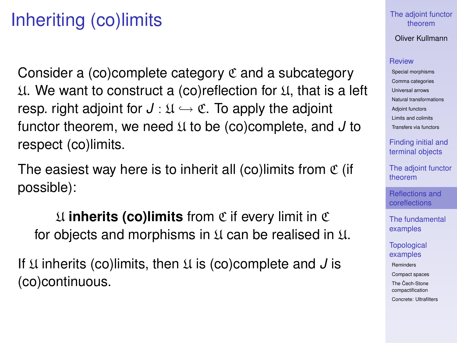## Inheriting (co)limits

Consider a (co)complete category  $\mathfrak C$  and a subcategory  $\mathfrak U$ . We want to construct a (co)reflection for  $\mathfrak U$ , that is a left resp. right adjoint for  $J: \mathfrak{U} \hookrightarrow \mathfrak{C}$ . To apply the adjoint functor theorem, we need U to be (co)complete, and *J* to respect (co)limits.

The easiest way here is to inherit all (co)limits from  $\mathfrak C$  (if possible):

U **inherits (co)limits** from C if every limit in C for objects and morphisms in  $\mathfrak U$  can be realised in  $\mathfrak U$ .

If U inherits (co)limits, then U is (co)complete and *J* is (co)continuous.

### [The adjoint functor](#page-0-0) theorem

Oliver Kullmann

#### **[Review](#page-4-0)**

[Special morphisms](#page-4-0) [Comma categories](#page-7-0) [Universal arrows](#page-9-0) [Natural transformations](#page-10-0) [Adjoint functors](#page-11-0) [Limits and colimits](#page-21-0) [Transfers via functors](#page-25-0)

[Finding initial and](#page-33-0) terminal objects

[The adjoint functor](#page-37-0) theorem

[Reflections and](#page-41-0) coreflections

[The fundamental](#page-47-0) examples

**[Topological](#page-50-0)** examples

[Reminders](#page-50-0)

[Compact spaces](#page-55-0)

The Cech-Stone [compactification](#page-57-0)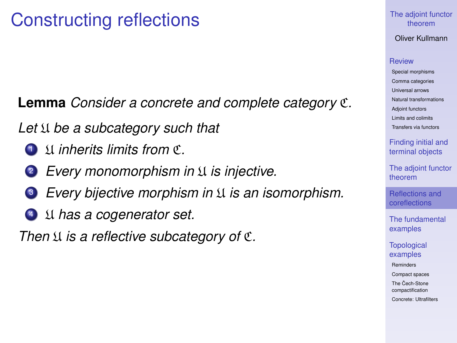### Constructing reflections

**Lemma** *Consider a concrete and complete category* C*.*

Let  $\mathfrak U$  *be a subcategory such that* 

- 1 I**nherits limits from**  $\mathfrak{C}$
- <sup>2</sup> *Every monomorphism in* U *is injective.*
- <sup>3</sup> *Every bijective morphism in* U *is an isomorphism.*
- <sup>4</sup> U *has a cogenerator set.*

*Then*  $\mathfrak U$  *is a reflective subcategory of*  $\mathfrak C$ *.* 

### [The adjoint functor](#page-0-0) theorem

Oliver Kullmann

#### **[Review](#page-4-0)**

[Special morphisms](#page-4-0) [Comma categories](#page-7-0) [Universal arrows](#page-9-0) [Natural transformations](#page-10-0) [Adjoint functors](#page-11-0) [Limits and colimits](#page-21-0) [Transfers via functors](#page-25-0)

[Finding initial and](#page-33-0) terminal objects

[The adjoint functor](#page-37-0) theorem

[Reflections and](#page-41-0) coreflections

[The fundamental](#page-47-0) examples

**[Topological](#page-50-0)** examples

[Reminders](#page-50-0)

[Compact spaces](#page-55-0)

The Cech-Stone [compactification](#page-57-0)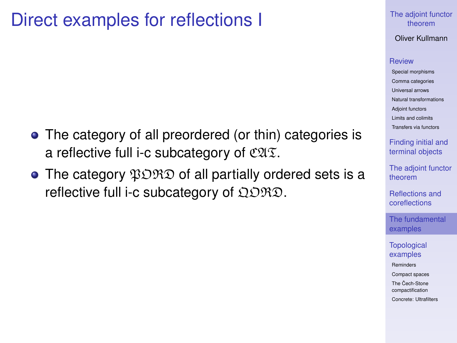### Direct examples for reflections I

- The category of all preordered (or thin) categories is a reflective full i-c subcategory of  $\mathfrak{C} \mathfrak{A} \mathfrak{T}$ .
- <span id="page-47-0"></span>• The category  $\mathfrak{PORO}$  of all partially ordered sets is a reflective full i-c subcategory of  $\Omega\mathcal{D}\mathcal{R}\mathcal{D}$ .

### [The adjoint functor](#page-0-0) theorem

Oliver Kullmann

#### **[Review](#page-4-0)**

[Special morphisms](#page-4-0) [Comma categories](#page-7-0) [Universal arrows](#page-9-0) [Natural transformations](#page-10-0) [Adjoint functors](#page-11-0) [Limits and colimits](#page-21-0) [Transfers via functors](#page-25-0)

[Finding initial and](#page-33-0) terminal objects

[The adjoint functor](#page-37-0) theorem

[Reflections and](#page-41-0) coreflections

[The fundamental](#page-47-0) examples

**[Topological](#page-50-0)** examples

[Reminders](#page-50-0)

[Compact spaces](#page-55-0)

The Cech-Stone [compactification](#page-57-0)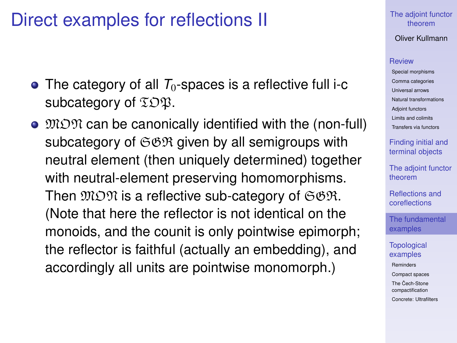### Direct examples for reflections II

- $\bullet$  The category of all  $T_0$ -spaces is a reflective full i-c subcategory of  $\Sigma$  $\mathfrak{DB}$ .
- $\bullet$   $\mathfrak{MOM}$  can be canonically identified with the (non-full) subcategory of  $\Im \mathfrak{B}$  given by all semigroups with neutral element (then uniquely determined) together with neutral-element preserving homomorphisms. Then  $\mathfrak{M} \mathfrak{M}$  is a reflective sub-category of  $\mathfrak{S} \mathfrak{G} \mathfrak{R}$ . (Note that here the reflector is not identical on the monoids, and the counit is only pointwise epimorph; the reflector is faithful (actually an embedding), and accordingly all units are pointwise monomorph.)

#### [The adjoint functor](#page-0-0) theorem

Oliver Kullmann

#### **[Review](#page-4-0)**

[Special morphisms](#page-4-0) [Comma categories](#page-7-0) [Universal arrows](#page-9-0) [Natural transformations](#page-10-0) [Adjoint functors](#page-11-0) [Limits and colimits](#page-21-0) [Transfers via functors](#page-25-0)

[Finding initial and](#page-33-0) terminal objects

[The adjoint functor](#page-37-0) theorem

[Reflections and](#page-41-0) coreflections

[The fundamental](#page-47-0) examples

**[Topological](#page-50-0)** examples

[Reminders](#page-50-0)

[Compact spaces](#page-55-0)

The Cech-Stone [compactification](#page-57-0)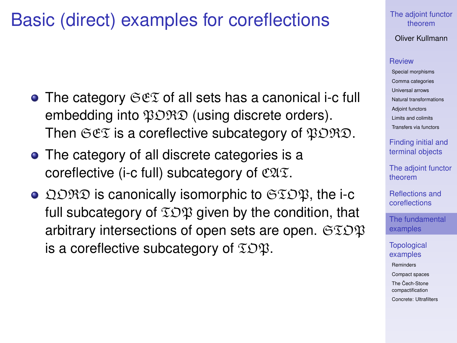### Basic (direct) examples for coreflections

- The category  $\Im \mathfrak{E} \Im$  of all sets has a canonical i-c full embedding into  $\mathfrak{PORO}$  (using discrete orders). Then  $\Im \mathfrak{ex}$  is a coreflective subcategory of  $\mathfrak{PORO}$ .
- The category of all discrete categories is a coreflective (i-c full) subcategory of  $\mathfrak{C} \mathfrak{A} \mathfrak{T}$ .
- $\bullet$  QORD is canonically isomorphic to  $\mathfrak{STOR}$ , the i-c full subcategory of  $\Sigma \mathcal{D} \mathfrak{P}$  given by the condition, that arbitrary intersections of open sets are open.  $\mathfrak{SEDB}$ is a coreflective subcategory of  $\mathfrak{TDR}$ .

#### [The adjoint functor](#page-0-0) theorem

Oliver Kullmann

#### **[Review](#page-4-0)**

[Special morphisms](#page-4-0) [Comma categories](#page-7-0) [Universal arrows](#page-9-0) [Natural transformations](#page-10-0) [Adjoint functors](#page-11-0) [Limits and colimits](#page-21-0) [Transfers via functors](#page-25-0)

[Finding initial and](#page-33-0) terminal objects

[The adjoint functor](#page-37-0) theorem

[Reflections and](#page-41-0) coreflections

[The fundamental](#page-47-0) examples

**[Topological](#page-50-0)** examples

[Reminders](#page-50-0)

[Compact spaces](#page-55-0)

The Cech-Stone [compactification](#page-57-0)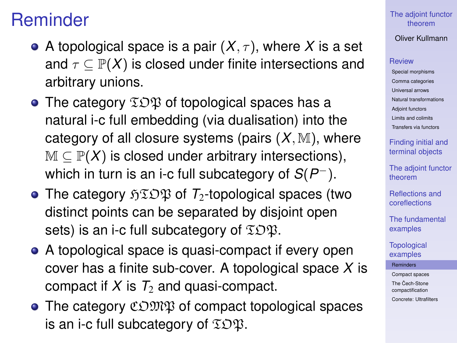### Reminder

- A topological space is a pair  $(X, \tau)$ , where X is a set and  $\tau \subseteq \mathbb{P}(X)$  is closed under finite intersections and arbitrary unions.
- The category  $\Sigma \mathcal{D} \mathfrak{P}$  of topological spaces has a natural i-c full embedding (via dualisation) into the category of all closure systems (pairs  $(X, M)$ , where  $M \subseteq \mathbb{P}(X)$  is closed under arbitrary intersections), which in turn is an i-c full subcategory of *S*(*P* <sup>−</sup>).
- The category  $\mathfrak{FIDB}$  of  $\mathcal{T}_2$ -topological spaces (two distinct points can be separated by disjoint open sets) is an i-c full subcategory of  $\mathfrak{TDR}$ .
- A topological space is quasi-compact if every open cover has a finite sub-cover. A topological space *X* is compact if  $X$  is  $T_2$  and quasi-compact.
- <span id="page-50-0"></span> $\bullet$  The category  $\mathfrak{CDMR}$  of compact topological spaces is an i-c full subcategory of  $\Sigma \mathcal{D} \mathfrak{P}$ .

[The adjoint functor](#page-0-0) theorem

Oliver Kullmann

### [Review](#page-4-0)

[Special morphisms](#page-4-0) [Comma categories](#page-7-0) [Universal arrows](#page-9-0) [Natural transformations](#page-10-0) [Adjoint functors](#page-11-0) [Limits and colimits](#page-21-0) [Transfers via functors](#page-25-0)

[Finding initial and](#page-33-0) terminal objects

[The adjoint functor](#page-37-0) theorem

[Reflections and](#page-41-0) coreflections

[The fundamental](#page-47-0) examples

**[Topological](#page-50-0)** examples

[Reminders](#page-50-0)

[Compact spaces](#page-55-0)

The Cech-Stone [compactification](#page-57-0)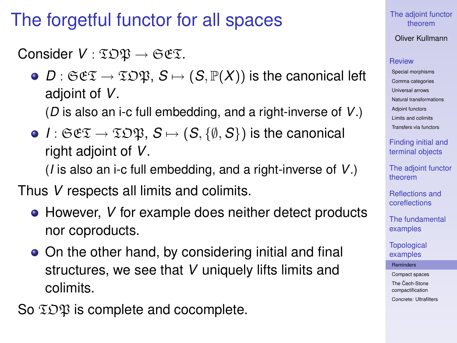### The forgetful functor for all spaces

Consider  $V : \mathfrak{T} \mathfrak{O} \mathfrak{P} \rightarrow \mathfrak{S} \mathfrak{E} \mathfrak{T}$ .

 $\bullet$  *D* :  $\mathfrak{S}\mathfrak{C}\mathfrak{T} \to \mathfrak{IDB}$ ,  $S \mapsto (S, \mathbb{P}(X))$  is the canonical left adjoint of *V*.

(*D* is also an i-c full embedding, and a right-inverse of *V*.)

•  $I: \mathfrak{S} \mathfrak{C} \mathfrak{I} \to \mathfrak{ID} \mathfrak{P}, S \mapsto (S, \{\emptyset, S\})$  is the canonical right adjoint of *V*.

(*I* is also an i-c full embedding, and a right-inverse of *V*.)

Thus *V* respects all limits and colimits.

- However, *V* for example does neither detect products nor coproducts.
- On the other hand, by considering initial and final structures, we see that *V* uniquely lifts limits and colimits.

So  $\Sigma$  $\mathfrak{D}\mathfrak{P}$  is complete and cocomplete.

[The adjoint functor](#page-0-0) theorem

Oliver Kullmann

### **[Review](#page-4-0)**

[Special morphisms](#page-4-0) [Comma categories](#page-7-0) [Universal arrows](#page-9-0) [Natural transformations](#page-10-0) [Adjoint functors](#page-11-0) [Limits and colimits](#page-21-0) [Transfers via functors](#page-25-0)

[Finding initial and](#page-33-0) terminal objects

[The adjoint functor](#page-37-0) theorem

[Reflections and](#page-41-0) coreflections

[The fundamental](#page-47-0) examples

**[Topological](#page-50-0)** examples

[Reminders](#page-50-0)

[Compact spaces](#page-55-0)

The Cech-Stone [compactification](#page-57-0)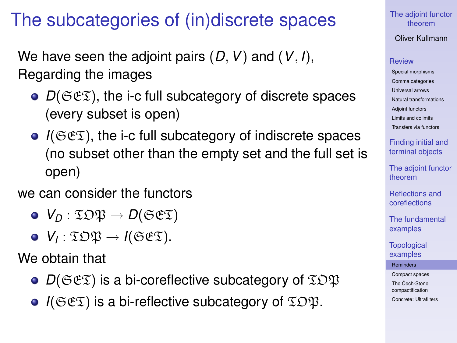### The subcategories of (in)discrete spaces

We have seen the adjoint pairs (*D*,*V*) and (*V*, *I*), Regarding the images

- $\bullet$   $D(\mathfrak{S}\mathfrak{C}\mathfrak{T})$ , the i-c full subcategory of discrete spaces (every subset is open)
- *I*( $C\epsilon\mathcal{I}$ ), the i-c full subcategory of indiscrete spaces (no subset other than the empty set and the full set is open)

### we can consider the functors

- $\bullet$  *V*<sub>*D*</sub> :  $\Sigma$ *D* $\mathfrak{P} \rightarrow D(\mathfrak{S} \mathfrak{E} \mathfrak{T})$
- $V_I : \mathfrak{T} \mathfrak{O} \mathfrak{P} \rightarrow I(\mathfrak{S} \mathfrak{E} \mathfrak{T}).$

We obtain that

- $D(\mathfrak{S}\mathfrak{C}\mathfrak{T})$  is a bi-coreflective subcategory of  $\mathfrak{T}D\mathfrak{P}$
- $\bullet$  *I*( $\Im$  $\mathfrak{E}$ ) is a bi-reflective subcategory of  $\Im$  $\Im$  $\mathfrak{B}$ .

#### [The adjoint functor](#page-0-0) theorem

Oliver Kullmann

### **[Review](#page-4-0)**

[Special morphisms](#page-4-0) [Comma categories](#page-7-0) [Universal arrows](#page-9-0) [Natural transformations](#page-10-0) [Adjoint functors](#page-11-0) [Limits and colimits](#page-21-0) [Transfers via functors](#page-25-0)

[Finding initial and](#page-33-0) terminal objects

[The adjoint functor](#page-37-0) theorem

[Reflections and](#page-41-0) coreflections

[The fundamental](#page-47-0) examples

**[Topological](#page-50-0)** examples

[Reminders](#page-50-0)

[Compact spaces](#page-55-0)

The Cech-Stone [compactification](#page-57-0)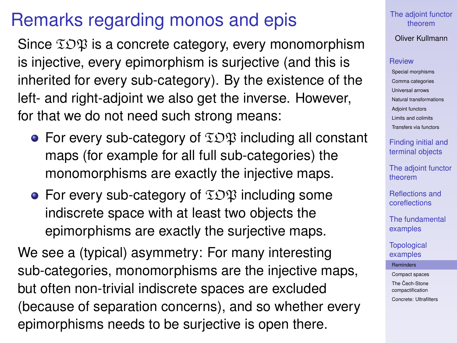### Remarks regarding monos and epis

Since  $\Sigma$ O $\mathfrak P$  is a concrete category, every monomorphism is injective, every epimorphism is surjective (and this is inherited for every sub-category). By the existence of the left- and right-adjoint we also get the inverse. However, for that we do not need such strong means:

- For every sub-category of  $\mathfrak{TDP}$  including all constant maps (for example for all full sub-categories) the monomorphisms are exactly the injective maps.
- For every sub-category of  $\Sigma$  $\mathfrak{D}\mathfrak{P}$  including some indiscrete space with at least two objects the epimorphisms are exactly the surjective maps.

We see a (typical) asymmetry: For many interesting sub-categories, monomorphisms are the injective maps, but often non-trivial indiscrete spaces are excluded (because of separation concerns), and so whether every epimorphisms needs to be surjective is open there.

### [The adjoint functor](#page-0-0) theorem

### Oliver Kullmann

#### **[Review](#page-4-0)**

[Special morphisms](#page-4-0) [Comma categories](#page-7-0) [Universal arrows](#page-9-0) [Natural transformations](#page-10-0) [Adjoint functors](#page-11-0) [Limits and colimits](#page-21-0) [Transfers via functors](#page-25-0)

[Finding initial and](#page-33-0) terminal objects

[The adjoint functor](#page-37-0) theorem

[Reflections and](#page-41-0) coreflections

[The fundamental](#page-47-0) examples

**[Topological](#page-50-0)** examples

[Reminders](#page-50-0)

[Compact spaces](#page-55-0)

The Cech-Stone [compactification](#page-57-0)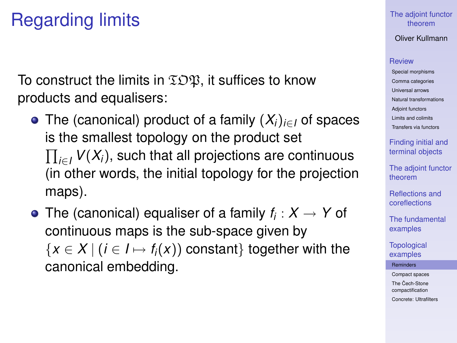## Regarding limits

To construct the limits in  $\Sigma \mathfrak{D} \mathfrak{P}$ , it suffices to know products and equalisers:

- The (canonical) product of a family (*Xi*)*i*∈*<sup>I</sup>* of spaces is the smallest topology on the product set  $\prod_{i \in I}$   $V(X_i)$ , such that all projections are continuous (in other words, the initial topology for the projection maps).
- The (canonical) equaliser of a family  $f_i: X \rightarrow Y$  of continuous maps is the sub-space given by  ${x \in X | (i \in I \mapsto f_i(x)) \text{ constant}$  together with the canonical embedding.

### [The adjoint functor](#page-0-0) theorem

Oliver Kullmann

#### **[Review](#page-4-0)**

[Special morphisms](#page-4-0) [Comma categories](#page-7-0) [Universal arrows](#page-9-0) [Natural transformations](#page-10-0) [Adjoint functors](#page-11-0) [Limits and colimits](#page-21-0) [Transfers via functors](#page-25-0)

[Finding initial and](#page-33-0) terminal objects

[The adjoint functor](#page-37-0) theorem

[Reflections and](#page-41-0) coreflections

[The fundamental](#page-47-0) examples

**[Topological](#page-50-0)** examples

[Reminders](#page-50-0)

[Compact spaces](#page-55-0)

The Cech-Stone [compactification](#page-57-0)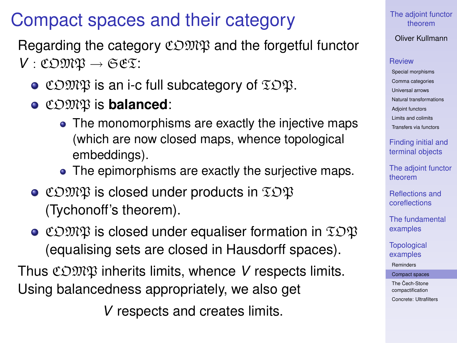### Compact spaces and their category

Regarding the category  $\mathfrak{CDMR}$  and the forgetful functor *V* : COMP → SET:

- $\bullet$  COMP is an i-c full subcategory of  $EDP$ .
- COMP is **balanced**:
	- The monomorphisms are exactly the injective maps (which are now closed maps, whence topological embeddings).
	- The epimorphisms are exactly the surjective maps.
- $\bullet$  COMP is closed under products in  $EDP$ (Tychonoff's theorem).
- $\bullet$  COMP is closed under equaliser formation in  $\Sigma$ OP (equalising sets are closed in Hausdorff spaces).

<span id="page-55-0"></span>Thus COMP inherits limits, whence *V* respects limits. Using balancedness appropriately, we also get

*V* respects and creates limits.

### [The adjoint functor](#page-0-0) theorem

### Oliver Kullmann

### **[Review](#page-4-0)**

[Special morphisms](#page-4-0) [Comma categories](#page-7-0) [Universal arrows](#page-9-0) [Natural transformations](#page-10-0) [Adjoint functors](#page-11-0) [Limits and colimits](#page-21-0) [Transfers via functors](#page-25-0)

[Finding initial and](#page-33-0) terminal objects

[The adjoint functor](#page-37-0) theorem

[Reflections and](#page-41-0) coreflections

[The fundamental](#page-47-0) examples

**[Topological](#page-50-0)** examples

[Reminders](#page-50-0)

[Compact spaces](#page-55-0)

The Cech-Stone [compactification](#page-57-0)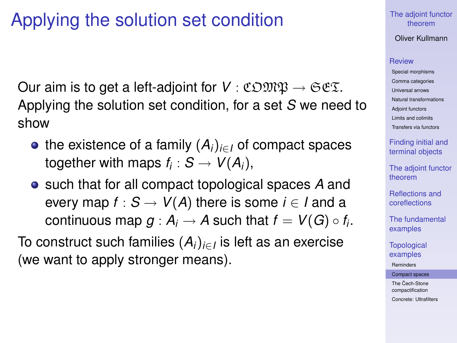## Applying the solution set condition

Our aim is to get a left-adjoint for  $V : \mathfrak{C} \mathfrak{O} \mathfrak{M} \mathfrak{P} \to \mathfrak{S} \mathfrak{C} \mathfrak{T}$ . Applying the solution set condition, for a set *S* we need to show

- the existence of a family  $(A_i)_{i \in I}$  of compact spaces together with maps  $f_i : S \to V(A_i)$ ,
- such that for all compact topological spaces *A* and every map  $f : S \to V(A)$  there is some  $i \in I$  and a continuous map  $g : A_i \to A$  such that  $f = V(G) \circ f_i.$

To construct such families (*Ai*)*i*∈*<sup>I</sup>* is left as an exercise (we want to apply stronger means).

### [The adjoint functor](#page-0-0) theorem

Oliver Kullmann

#### **[Review](#page-4-0)**

[Special morphisms](#page-4-0) [Comma categories](#page-7-0) [Universal arrows](#page-9-0) [Natural transformations](#page-10-0) [Adjoint functors](#page-11-0) [Limits and colimits](#page-21-0) [Transfers via functors](#page-25-0)

[Finding initial and](#page-33-0) terminal objects

[The adjoint functor](#page-37-0) theorem

[Reflections and](#page-41-0) coreflections

[The fundamental](#page-47-0) examples

**[Topological](#page-50-0)** examples

[Reminders](#page-50-0)

[Compact spaces](#page-55-0)

The Cech-Stone [compactification](#page-57-0)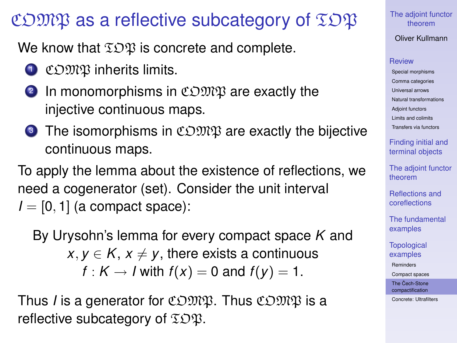### COMP as a reflective subcategory of  $\mathfrak{IDP}$

We know that  $\Sigma \mathfrak{D} \mathfrak{P}$  is concrete and complete.

- **1** COMP inherits limits.
- **2** In monomorphisms in COMP are exactly the injective continuous maps.
- **3** The isomorphisms in  $\mathfrak{CDMR}$  are exactly the bijective continuous maps.

To apply the lemma about the existence of reflections, we need a cogenerator (set). Consider the unit interval  $I = [0, 1]$  (a compact space):

By Urysohn's lemma for every compact space *K* and  $x, y \in K$ ,  $x \neq y$ , there exists a continuous  $f: K \rightarrow I$  with  $f(x) = 0$  and  $f(y) = 1$ .

<span id="page-57-0"></span>Thus *I* is a generator for COMP. Thus COMP is a reflective subcategory of  $\Sigma$  $\mathfrak{D}\mathfrak{P}$ .

[The adjoint functor](#page-0-0) theorem

Oliver Kullmann

### **[Review](#page-4-0)**

[Special morphisms](#page-4-0) [Comma categories](#page-7-0) [Universal arrows](#page-9-0) [Natural transformations](#page-10-0) [Adjoint functors](#page-11-0) [Limits and colimits](#page-21-0) [Transfers via functors](#page-25-0)

[Finding initial and](#page-33-0) terminal objects

[The adjoint functor](#page-37-0) theorem

[Reflections and](#page-41-0) coreflections

[The fundamental](#page-47-0) examples

**[Topological](#page-50-0)** examples

[Reminders](#page-50-0)

[Compact spaces](#page-55-0)

The Cech-Stone [compactification](#page-57-0)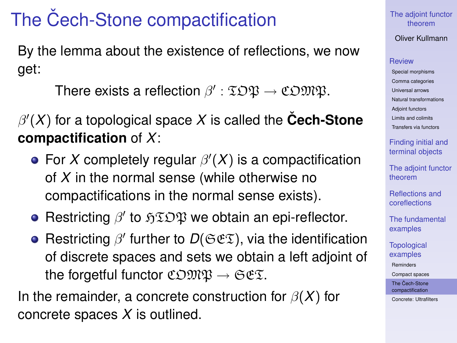# The Cech-Stone compactification

By the lemma about the existence of reflections, we now get:

There exists a reflection  $\beta':\mathfrak{TDB}\to\mathfrak{CDMB}.$ 

 $\beta'(X)$  for a topological space  $X$  is called the  $\mathsf{\check{C}ech\text{-}Stone}$ **compactification** of *X*:

- For X completely regular  $\beta'(X)$  is a compactification of *X* in the normal sense (while otherwise no compactifications in the normal sense exists).
- Restricting  $\beta'$  to  $\mathfrak{HIDB}$  we obtain an epi-reflector.
- Restricting  $\beta'$  further to  $D(\mathfrak{Sex})$ , via the identification of discrete spaces and sets we obtain a left adjoint of the forgetful functor  $\mathfrak{CDMR} \to \mathfrak{SES}.$

In the remainder, a concrete construction for  $\beta(X)$  for concrete spaces *X* is outlined.

### [The adjoint functor](#page-0-0) theorem

### Oliver Kullmann

### **[Review](#page-4-0)**

[Special morphisms](#page-4-0) [Comma categories](#page-7-0) [Universal arrows](#page-9-0) [Natural transformations](#page-10-0) [Adjoint functors](#page-11-0) [Limits and colimits](#page-21-0) [Transfers via functors](#page-25-0)

[Finding initial and](#page-33-0) terminal objects

[The adjoint functor](#page-37-0) theorem

[Reflections and](#page-41-0) coreflections

[The fundamental](#page-47-0) examples

**[Topological](#page-50-0)** examples

[Reminders](#page-50-0)

[Compact spaces](#page-55-0)

The Cech-Stone [compactification](#page-57-0)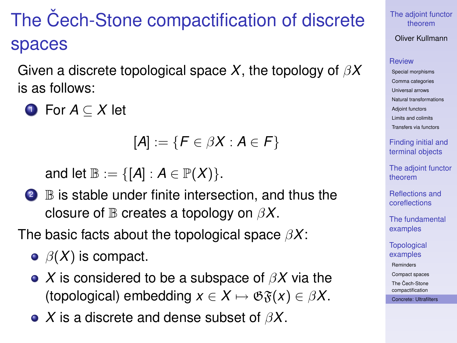# The Cech-Stone compactification of discrete spaces

Given a discrete topological space *X*, the topology of β*X* is as follows:

<sup>1</sup> For *A* ⊆ *X* let

$$
[A]:=\{F\in\beta X: A\in\mathcal{F}\}
$$

and let  $\mathbb{B} := \{ [A] : A \in \mathbb{P}(X) \}.$ 

<sup>2</sup> B is stable under finite intersection, and thus the closure of B creates a topology on β*X*.

The basic facts about the topological space β*X*:

- $\Theta$   $\beta$ (X) is compact.
- *X* is considered to be a subspace of β*X* via the (topological) embedding  $x \in X \mapsto \mathfrak{G} \mathfrak{F}(x) \in \beta X$ .
- <span id="page-59-0"></span>*X* is a discrete and dense subset of β*X*.

[The adjoint functor](#page-0-0) theorem

Oliver Kullmann

### **[Review](#page-4-0)**

[Special morphisms](#page-4-0) [Comma categories](#page-7-0) [Universal arrows](#page-9-0) [Natural transformations](#page-10-0) [Adjoint functors](#page-11-0) [Limits and colimits](#page-21-0) [Transfers via functors](#page-25-0)

[Finding initial and](#page-33-0) terminal objects

[The adjoint functor](#page-37-0) theorem

[Reflections and](#page-41-0) coreflections

[The fundamental](#page-47-0) examples

**[Topological](#page-50-0)** examples

[Reminders](#page-50-0)

[Compact spaces](#page-55-0)

The Cech-Stone [compactification](#page-57-0)